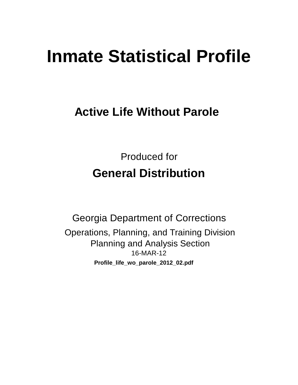# **Inmate Statistical Profile**

# **Active Life Without Parole**

Produced for **General Distribution**

16-MAR-12 Georgia Department of Corrections Operations, Planning, and Training Division Planning and Analysis Section **Profile\_life\_wo\_parole\_2012\_02.pdf**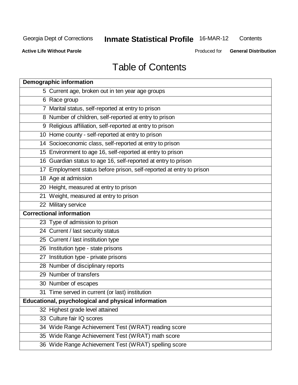**Contents** 

**Active Life Without Parole** 

Produced for **General Distribution**

## Table of Contents

| <b>Demographic information</b>                                       |
|----------------------------------------------------------------------|
| 5 Current age, broken out in ten year age groups                     |
| 6 Race group                                                         |
| 7 Marital status, self-reported at entry to prison                   |
| 8 Number of children, self-reported at entry to prison               |
| 9 Religious affiliation, self-reported at entry to prison            |
| 10 Home county - self-reported at entry to prison                    |
| 14 Socioeconomic class, self-reported at entry to prison             |
| 15 Environment to age 16, self-reported at entry to prison           |
| 16 Guardian status to age 16, self-reported at entry to prison       |
| 17 Employment status before prison, self-reported at entry to prison |
| 18 Age at admission                                                  |
| 20 Height, measured at entry to prison                               |
| 21 Weight, measured at entry to prison                               |
| 22 Military service                                                  |
| <b>Correctional information</b>                                      |
| 23 Type of admission to prison                                       |
| 24 Current / last security status                                    |
| 25 Current / last institution type                                   |
| 26 Institution type - state prisons                                  |
| 27 Institution type - private prisons                                |
| 28 Number of disciplinary reports                                    |
| 29 Number of transfers                                               |
| 30 Number of escapes                                                 |
| 31 Time served in current (or last) institution                      |
| Educational, psychological and physical information                  |
| 32 Highest grade level attained                                      |
| 33 Culture fair IQ scores                                            |
| 34 Wide Range Achievement Test (WRAT) reading score                  |
| 35 Wide Range Achievement Test (WRAT) math score                     |
| 36 Wide Range Achievement Test (WRAT) spelling score                 |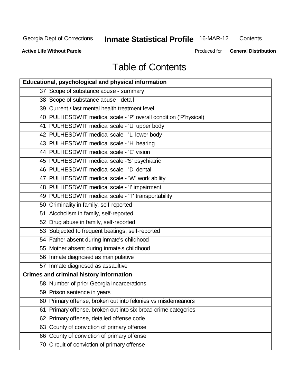**Contents** 

**Active Life Without Parole** 

Produced for **General Distribution**

## Table of Contents

| Educational, psychological and physical information               |
|-------------------------------------------------------------------|
| 37 Scope of substance abuse - summary                             |
| 38 Scope of substance abuse - detail                              |
| 39 Current / last mental health treatment level                   |
| 40 PULHESDWIT medical scale - 'P' overall condition ('P'hysical)  |
| 41 PULHESDWIT medical scale - 'U' upper body                      |
| 42 PULHESDWIT medical scale - 'L' lower body                      |
| 43 PULHESDWIT medical scale - 'H' hearing                         |
| 44 PULHESDWIT medical scale - 'E' vision                          |
| 45 PULHESDWIT medical scale -'S' psychiatric                      |
| 46 PULHESDWIT medical scale - 'D' dental                          |
| 47 PULHESDWIT medical scale - 'W' work ability                    |
| 48 PULHESDWIT medical scale - 'I' impairment                      |
| 49 PULHESDWIT medical scale - 'T' transportability                |
| 50 Criminality in family, self-reported                           |
| 51 Alcoholism in family, self-reported                            |
| 52 Drug abuse in family, self-reported                            |
| 53 Subjected to frequent beatings, self-reported                  |
| 54 Father absent during inmate's childhood                        |
| 55 Mother absent during inmate's childhood                        |
| 56 Inmate diagnosed as manipulative                               |
| 57 Inmate diagnosed as assaultive                                 |
| <b>Crimes and criminal history information</b>                    |
| 58 Number of prior Georgia incarcerations                         |
| 59 Prison sentence in years                                       |
| 60 Primary offense, broken out into felonies vs misdemeanors      |
| Primary offense, broken out into six broad crime categories<br>61 |
| 62 Primary offense, detailed offense code                         |
| 63 County of conviction of primary offense                        |
| 66 County of conviction of primary offense                        |
| 70 Circuit of conviction of primary offense                       |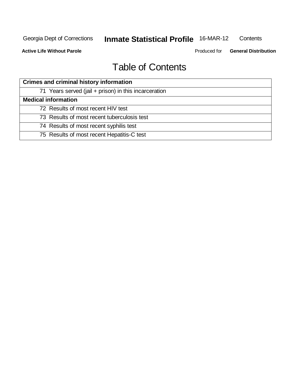**Active Life Without Parole** 

Produced for **General Distribution**

## Table of Contents

| <b>Crimes and criminal history information</b>        |
|-------------------------------------------------------|
| 71 Years served (jail + prison) in this incarceration |
| <b>Medical information</b>                            |
| 72 Results of most recent HIV test                    |
| 73 Results of most recent tuberculosis test           |
| 74 Results of most recent syphilis test               |
| 75 Results of most recent Hepatitis-C test            |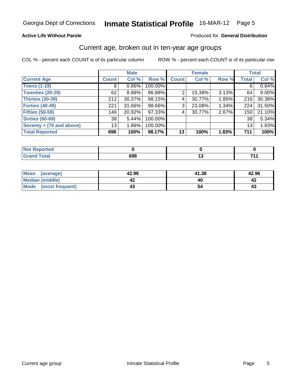#### **Active Life Without Parole**

#### Produced for **General Distribution**

### Current age, broken out in ten-year age groups

|                          |                 | <b>Male</b> |         |              | <b>Female</b> |       |              | <b>Total</b> |
|--------------------------|-----------------|-------------|---------|--------------|---------------|-------|--------------|--------------|
| <b>Current Age</b>       | <b>Count</b>    | Col %       | Row %   | <b>Count</b> | Col %         | Row % | <b>Total</b> | Col %        |
| <b>Teens (1-19)</b>      | 6               | $0.86\%$    | 100.00% |              |               |       | 6            | 0.84%        |
| <b>Twenties (20-29)</b>  | 62              | 8.88%       | 96.88%  | 2            | 15.38%        | 3.13% | 64           | 9.00%        |
| <b>Thirties (30-39)</b>  | 212             | 30.37%      | 98.15%  | 4            | 30.77%        | 1.85% | 216          | 30.38%       |
| <b>Forties (40-49)</b>   | 221             | 31.66%      | 98.66%  | 3            | 23.08%        | 1.34% | 224          | 31.50%       |
| <b>Fifties (50-59)</b>   | 146             | 20.92%      | 97.33%  | 4            | 30.77%        | 2.67% | 150          | 21.10%       |
| <b>Sixties (60-69)</b>   | 38              | 5.44%       | 100.00% |              |               |       | 38           | 5.34%        |
| Seventy + (70 and above) | 13 <sub>1</sub> | $1.86\%$    | 100.00% |              |               |       | 13           | 1.83%        |
| <b>Total Reported</b>    | 698             | 100%        | 98.17%  | 13           | 100%          | 1.83% | 711          | 100%         |

| ب سائد<br>rea                           |     |     |
|-----------------------------------------|-----|-----|
| <b>otal</b><br>C <sub>r</sub><br>$\sim$ | 698 | 74. |

| <b>Mean</b><br>(average) | 42.99 | 41.38 | 42.96 |
|--------------------------|-------|-------|-------|
| Median (middle)          | 4∡    |       | ⊾4    |
| Mode<br>(most frequent)  | 4.    |       | 4.    |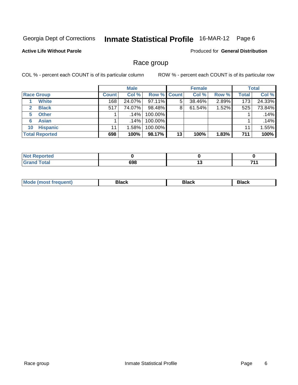#### **Active Life Without Parole**

Produced for **General Distribution**

### Race group

|                       |              | <b>Male</b> |                    |    | <b>Female</b> |       |       | <b>Total</b> |
|-----------------------|--------------|-------------|--------------------|----|---------------|-------|-------|--------------|
| <b>Race Group</b>     | <b>Count</b> | Col %       | <b>Row % Count</b> |    | Col %         | Row % | Total | Col %        |
| <b>White</b>          | 168          | 24.07%      | 97.11%             | 5  | 38.46%        | 2.89% | 173   | 24.33%       |
| <b>Black</b>          | 517          | 74.07%      | 98.48%             | 8  | 61.54%        | 1.52% | 525   | 73.84%       |
| <b>Other</b>          |              | $.14\%$     | 100.00%            |    |               |       |       | .14%         |
| <b>Asian</b><br>6     |              | .14%        | 100.00%            |    |               |       |       | .14%         |
| <b>Hispanic</b><br>10 | 11           | 1.58%       | 100.00%            |    |               |       | 11    | 1.55%        |
| <b>Total Reported</b> | 698          | 100%        | 98.17%             | 13 | 100%          | 1.83% | 711   | 100%         |

| orted<br>N           |     |     |     |
|----------------------|-----|-----|-----|
| <b>Total</b><br>---- | 698 | 1 V | 744 |

| M<br>_____ | ------- | ייט<br>------- |  |
|------------|---------|----------------|--|
|            |         |                |  |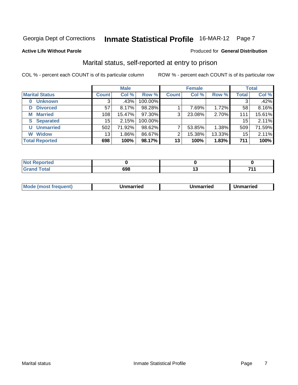#### **Active Life Without Parole**

### Produced for **General Distribution**

### Marital status, self-reported at entry to prison

|                            |              | <b>Male</b> |         |              | <b>Female</b> |        |              | <b>Total</b> |
|----------------------------|--------------|-------------|---------|--------------|---------------|--------|--------------|--------------|
| <b>Marital Status</b>      | <b>Count</b> | Col %       | Row %   | <b>Count</b> | Col %         | Row %  | <b>Total</b> | Col %        |
| <b>Unknown</b><br>$\bf{0}$ |              | .43%        | 100.00% |              |               |        | 3            | .42%         |
| <b>Divorced</b><br>D       | 57           | 8.17%       | 98.28%  |              | 7.69%         | 1.72%  | 58           | 8.16%        |
| <b>Married</b><br>М        | 108          | 15.47%      | 97.30%  | 3            | 23.08%        | 2.70%  | 111          | 15.61%       |
| <b>Separated</b><br>S      | 15           | 2.15%       | 100.00% |              |               |        | 15           | 2.11%        |
| <b>U</b> Unmarried         | 502          | 71.92%      | 98.62%  | 7            | 53.85%        | 1.38%  | 509          | 71.59%       |
| <b>Widow</b><br>W          | 13           | 1.86%       | 86.67%  | 2            | 15.38%        | 13.33% | 15           | 2.11%        |
| <b>Total Reported</b>      | 698          | 100%        | 98.17%  | 13           | 100%          | 1.83%  | 711          | 100%         |

| - | 698 | . |
|---|-----|---|

|  | <b>Mou</b><br>frequent) | Unmarried | Unmarried | nmarried<br>.<br>- - |
|--|-------------------------|-----------|-----------|----------------------|
|--|-------------------------|-----------|-----------|----------------------|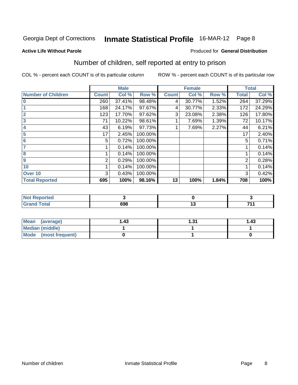#### **Active Life Without Parole**

#### Produced for **General Distribution**

### Number of children, self reported at entry to prison

|                           |              | <b>Male</b> |         |              | <b>Female</b> |       |              | <b>Total</b> |
|---------------------------|--------------|-------------|---------|--------------|---------------|-------|--------------|--------------|
| <b>Number of Children</b> | <b>Count</b> | Col %       | Row %   | <b>Count</b> | Col %         | Row % | <b>Total</b> | Col %        |
| $\overline{0}$            | 260          | 37.41%      | 98.48%  | 4            | 30.77%        | 1.52% | 264          | 37.29%       |
|                           | 168          | 24.17%      | 97.67%  | 4            | 30.77%        | 2.33% | 172          | 24.29%       |
| $\overline{2}$            | 123          | 17.70%      | 97.62%  | 3            | 23.08%        | 2.38% | 126          | 17.80%       |
| $\overline{\mathbf{3}}$   | 71           | 10.22%      | 98.61%  |              | 7.69%         | 1.39% | 72           | 10.17%       |
| 4                         | 43           | 6.19%       | 97.73%  |              | 7.69%         | 2.27% | 44           | 6.21%        |
| 5                         | 17           | 2.45%       | 100.00% |              |               |       | 17           | 2.40%        |
| $6\phantom{a}6$           | 5            | 0.72%       | 100.00% |              |               |       | 5            | 0.71%        |
| 7                         |              | 0.14%       | 100.00% |              |               |       |              | 0.14%        |
| 8                         |              | 0.14%       | 100.00% |              |               |       |              | 0.14%        |
| 9                         | 2            | 0.29%       | 100.00% |              |               |       | 2            | 0.28%        |
| 10                        |              | 0.14%       | 100.00% |              |               |       | 1            | 0.14%        |
| Over 10                   | 3            | 0.43%       | 100.00% |              |               |       | 3            | 0.42%        |
| <b>Total Reported</b>     | 695          | 100%        | 98.16%  | 13           | 100%          | 1.84% | 708          | 100%         |

| ported                |            |            |
|-----------------------|------------|------------|
| <b>otal</b><br>------ | ۵۵۵<br>ספט | <b>744</b> |

| Mean (average)       | ∣.43 | -24 | .43 |
|----------------------|------|-----|-----|
| Median (middle)      |      |     |     |
| Mode (most frequent) |      |     |     |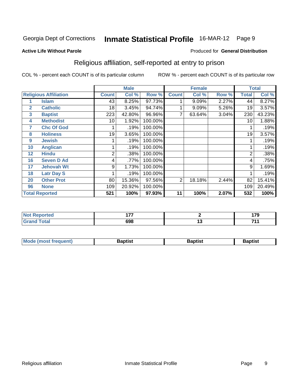#### **Active Life Without Parole**

#### Produced for **General Distribution**

### Religious affiliation, self-reported at entry to prison

|              |                              |              | <b>Male</b> |         |                | <b>Female</b> |       |              | <b>Total</b> |
|--------------|------------------------------|--------------|-------------|---------|----------------|---------------|-------|--------------|--------------|
|              | <b>Religious Affiliation</b> | <b>Count</b> | Col %       | Row %   | <b>Count</b>   | Col %         | Row % | <b>Total</b> | Col %        |
|              | <b>Islam</b>                 | 43           | 8.25%       | 97.73%  |                | 9.09%         | 2.27% | 44           | 8.27%        |
| $\mathbf{2}$ | <b>Catholic</b>              | 18           | 3.45%       | 94.74%  |                | 9.09%         | 5.26% | 19           | 3.57%        |
| 3            | <b>Baptist</b>               | 223          | 42.80%      | 96.96%  | 7              | 63.64%        | 3.04% | 230          | 43.23%       |
| 4            | <b>Methodist</b>             | 10           | 1.92%       | 100.00% |                |               |       | 10           | 1.88%        |
| 7            | <b>Chc Of God</b>            |              | .19%        | 100.00% |                |               |       |              | .19%         |
| 8            | <b>Holiness</b>              | 19           | 3.65%       | 100.00% |                |               |       | 19           | 3.57%        |
| 9            | <b>Jewish</b>                |              | .19%        | 100.00% |                |               |       |              | .19%         |
| 10           | <b>Anglican</b>              |              | .19%        | 100.00% |                |               |       |              | .19%         |
| 12           | <b>Hindu</b>                 | 2            | .38%        | 100.00% |                |               |       | 2            | .38%         |
| 16           | <b>Seven D Ad</b>            | 4            | .77%        | 100.00% |                |               |       | 4            | .75%         |
| 17           | <b>Jehovah Wt</b>            | 9            | 1.73%       | 100.00% |                |               |       | 9            | 1.69%        |
| 18           | <b>Latr Day S</b>            |              | .19%        | 100.00% |                |               |       |              | .19%         |
| 20           | <b>Other Prot</b>            | 80           | 15.36%      | 97.56%  | $\overline{2}$ | 18.18%        | 2.44% | 82           | 15.41%       |
| 96           | <b>None</b>                  | 109          | 20.92%      | 100.00% |                |               |       | 109          | 20.49%       |
|              | <b>Total Reported</b>        | 521          | 100%        | 97.93%  | 11             | 100%          | 2.07% | 532          | 100%         |

| τeα    | --- |                                 | $\overline{\phantom{a}}$ |
|--------|-----|---------------------------------|--------------------------|
| $\sim$ |     |                                 |                          |
| $\sim$ | 698 | . .<br>$\overline{\phantom{a}}$ | 744                      |

| <b>Mode (most frequent)</b> | 3aptist | Baptist | 3aptist |
|-----------------------------|---------|---------|---------|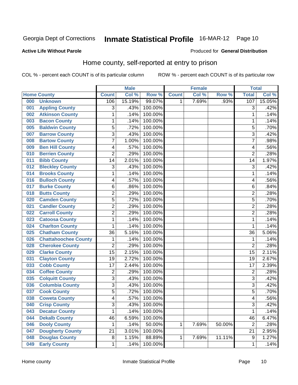#### **Active Life Without Parole**

#### Produced for **General Distribution**

### Home county, self-reported at entry to prison

|     |                             |                         | <b>Male</b> |         |              | <b>Female</b> |        | <b>Total</b>     |        |
|-----|-----------------------------|-------------------------|-------------|---------|--------------|---------------|--------|------------------|--------|
|     | <b>Home County</b>          | <b>Count</b>            | Col %       | Row %   | <b>Count</b> | Col %         | Row %  | <b>Total</b>     | Col %  |
| 000 | <b>Unknown</b>              | 106                     | 15.19%      | 99.07%  | 1            | 7.69%         | .93%   | 107              | 15.05% |
| 001 | <b>Appling County</b>       | 3                       | .43%        | 100.00% |              |               |        | 3                | .42%   |
| 002 | <b>Atkinson County</b>      | 1                       | .14%        | 100.00% |              |               |        | 1                | .14%   |
| 003 | <b>Bacon County</b>         | 1                       | .14%        | 100.00% |              |               |        | 1                | .14%   |
| 005 | <b>Baldwin County</b>       | 5                       | .72%        | 100.00% |              |               |        | 5                | .70%   |
| 007 | <b>Barrow County</b>        | $\overline{3}$          | .43%        | 100.00% |              |               |        | 3                | .42%   |
| 008 | <b>Bartow County</b>        | $\overline{7}$          | 1.00%       | 100.00% |              |               |        | 7                | .98%   |
| 009 | <b>Ben Hill County</b>      | 4                       | .57%        | 100.00% |              |               |        | 4                | .56%   |
| 010 | <b>Berrien County</b>       | $\overline{2}$          | .29%        | 100.00% |              |               |        | $\overline{2}$   | .28%   |
| 011 | <b>Bibb County</b>          | 14                      | 2.01%       | 100.00% |              |               |        | 14               | 1.97%  |
| 012 | <b>Bleckley County</b>      | 3                       | .43%        | 100.00% |              |               |        | 3                | .42%   |
| 014 | <b>Brooks County</b>        | 1                       | .14%        | 100.00% |              |               |        | 1                | .14%   |
| 016 | <b>Bulloch County</b>       | 4                       | .57%        | 100.00% |              |               |        | 4                | .56%   |
| 017 | <b>Burke County</b>         | $\,6$                   | .86%        | 100.00% |              |               |        | $\overline{6}$   | .84%   |
| 018 | <b>Butts County</b>         | $\overline{2}$          | .29%        | 100.00% |              |               |        | $\overline{2}$   | .28%   |
| 020 | <b>Camden County</b>        | 5                       | .72%        | 100.00% |              |               |        | 5                | .70%   |
| 021 | <b>Candler County</b>       | $\overline{2}$          | .29%        | 100.00% |              |               |        | $\overline{2}$   | .28%   |
| 022 | <b>Carroll County</b>       | $\overline{\mathbf{c}}$ | .29%        | 100.00% |              |               |        | $\overline{2}$   | .28%   |
| 023 | <b>Catoosa County</b>       | 1                       | .14%        | 100.00% |              |               |        | 1                | .14%   |
| 024 | <b>Charlton County</b>      | 1                       | .14%        | 100.00% |              |               |        | 1                | .14%   |
| 025 | <b>Chatham County</b>       | 36                      | 5.16%       | 100.00% |              |               |        | 36               | 5.06%  |
| 026 | <b>Chattahoochee County</b> | 1                       | .14%        | 100.00% |              |               |        | 1                | .14%   |
| 028 | <b>Cherokee County</b>      | $\overline{2}$          | .29%        | 100.00% |              |               |        | $\overline{2}$   | .28%   |
| 029 | <b>Clarke County</b>        | 15                      | 2.15%       | 100.00% |              |               |        | 15               | 2.11%  |
| 031 | <b>Clayton County</b>       | 19                      | 2.72%       | 100.00% |              |               |        | 19               | 2.67%  |
| 033 | <b>Cobb County</b>          | 17                      | 2.44%       | 100.00% |              |               |        | 17               | 2.39%  |
| 034 | <b>Coffee County</b>        | $\overline{2}$          | .29%        | 100.00% |              |               |        | $\overline{2}$   | .28%   |
| 035 | <b>Colquitt County</b>      | $\overline{3}$          | .43%        | 100.00% |              |               |        | 3                | .42%   |
| 036 | <b>Columbia County</b>      | $\overline{3}$          | .43%        | 100.00% |              |               |        | 3                | .42%   |
| 037 | <b>Cook County</b>          | 5                       | .72%        | 100.00% |              |               |        | 5                | .70%   |
| 038 | <b>Coweta County</b>        | 4                       | .57%        | 100.00% |              |               |        | 4                | .56%   |
| 040 | <b>Crisp County</b>         | 3                       | .43%        | 100.00% |              |               |        | 3                | .42%   |
| 043 | <b>Decatur County</b>       | 1                       | .14%        | 100.00% |              |               |        | 1                | .14%   |
| 044 | <b>Dekalb County</b>        | 46                      | 6.59%       | 100.00% |              |               |        | 46               | 6.47%  |
| 046 | <b>Dooly County</b>         | 1                       | .14%        | 50.00%  | 1            | 7.69%         | 50.00% | $\overline{2}$   | .28%   |
| 047 | <b>Dougherty County</b>     | 21                      | 3.01%       | 100.00% |              |               |        | 21               | 2.95%  |
| 048 | <b>Douglas County</b>       | 8                       | 1.15%       | 88.89%  | 1            | 7.69%         | 11.11% | $\boldsymbol{9}$ | 1.27%  |
| 049 | <b>Early County</b>         | 1                       | .14%        | 100.00% |              |               |        | 1                | .14%   |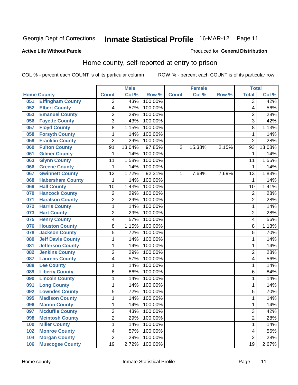#### **Active Life Without Parole**

#### Produced for **General Distribution**

### Home county, self-reported at entry to prison

|     |                          |                         | <b>Male</b> |         |                | <b>Female</b> |       | <b>Total</b>   |        |
|-----|--------------------------|-------------------------|-------------|---------|----------------|---------------|-------|----------------|--------|
|     | <b>Home County</b>       | <b>Count</b>            | Col %       | Row %   | <b>Count</b>   | Col %         | Row % | <b>Total</b>   | Col %  |
| 051 | <b>Effingham County</b>  | $\overline{3}$          | .43%        | 100.00% |                |               |       | $\overline{3}$ | .42%   |
| 052 | <b>Elbert County</b>     | 4                       | .57%        | 100.00% |                |               |       | 4              | .56%   |
| 053 | <b>Emanuel County</b>    | $\overline{\mathbf{c}}$ | .29%        | 100.00% |                |               |       | $\overline{2}$ | .28%   |
| 056 | <b>Fayette County</b>    | $\overline{3}$          | .43%        | 100.00% |                |               |       | 3              | .42%   |
| 057 | <b>Floyd County</b>      | 8                       | 1.15%       | 100.00% |                |               |       | 8              | 1.13%  |
| 058 | <b>Forsyth County</b>    | $\mathbf{1}$            | .14%        | 100.00% |                |               |       | 1              | .14%   |
| 059 | <b>Franklin County</b>   | $\overline{2}$          | .29%        | 100.00% |                |               |       | $\overline{2}$ | .28%   |
| 060 | <b>Fulton County</b>     | 91                      | 13.04%      | 97.85%  | $\overline{2}$ | 15.38%        | 2.15% | 93             | 13.08% |
| 061 | <b>Gilmer County</b>     | 1                       | .14%        | 100.00% |                |               |       | 1              | .14%   |
| 063 | <b>Glynn County</b>      | 11                      | 1.58%       | 100.00% |                |               |       | 11             | 1.55%  |
| 066 | <b>Greene County</b>     | 1                       | .14%        | 100.00% |                |               |       | 1              | .14%   |
| 067 | <b>Gwinnett County</b>   | 12                      | 1.72%       | 92.31%  | 1              | 7.69%         | 7.69% | 13             | 1.83%  |
| 068 | <b>Habersham County</b>  | 1                       | .14%        | 100.00% |                |               |       | 1              | .14%   |
| 069 | <b>Hall County</b>       | 10                      | 1.43%       | 100.00% |                |               |       | 10             | 1.41%  |
| 070 | <b>Hancock County</b>    | $\overline{c}$          | .29%        | 100.00% |                |               |       | $\overline{c}$ | .28%   |
| 071 | <b>Haralson County</b>   | 2                       | .29%        | 100.00% |                |               |       | $\overline{2}$ | .28%   |
| 072 | <b>Harris County</b>     | 1                       | .14%        | 100.00% |                |               |       | 1              | .14%   |
| 073 | <b>Hart County</b>       | 2                       | .29%        | 100.00% |                |               |       | $\overline{c}$ | .28%   |
| 075 | <b>Henry County</b>      | 4                       | .57%        | 100.00% |                |               |       | 4              | .56%   |
| 076 | <b>Houston County</b>    | 8                       | 1.15%       | 100.00% |                |               |       | 8              | 1.13%  |
| 078 | <b>Jackson County</b>    | 5                       | .72%        | 100.00% |                |               |       | 5              | .70%   |
| 080 | <b>Jeff Davis County</b> | 1                       | .14%        | 100.00% |                |               |       | 1              | .14%   |
| 081 | <b>Jefferson County</b>  | 1                       | .14%        | 100.00% |                |               |       | 1              | .14%   |
| 082 | <b>Jenkins County</b>    | 2                       | .29%        | 100.00% |                |               |       | $\overline{c}$ | .28%   |
| 087 | <b>Laurens County</b>    | 4                       | .57%        | 100.00% |                |               |       | 4              | .56%   |
| 088 | <b>Lee County</b>        | 1                       | .14%        | 100.00% |                |               |       | 1              | .14%   |
| 089 | <b>Liberty County</b>    | 6                       | .86%        | 100.00% |                |               |       | 6              | .84%   |
| 090 | <b>Lincoln County</b>    | 1                       | .14%        | 100.00% |                |               |       | 1              | .14%   |
| 091 | <b>Long County</b>       | 1                       | .14%        | 100.00% |                |               |       | 1              | .14%   |
| 092 | <b>Lowndes County</b>    | 5                       | .72%        | 100.00% |                |               |       | 5              | .70%   |
| 095 | <b>Madison County</b>    | 1                       | .14%        | 100.00% |                |               |       | 1              | .14%   |
| 096 | <b>Marion County</b>     | 1                       | .14%        | 100.00% |                |               |       | 1              | .14%   |
| 097 | <b>Mcduffie County</b>   | $\overline{3}$          | .43%        | 100.00% |                |               |       | $\overline{3}$ | .42%   |
| 098 | <b>Mcintosh County</b>   | $\overline{2}$          | .29%        | 100.00% |                |               |       | $\overline{2}$ | .28%   |
| 100 | <b>Miller County</b>     | 1                       | .14%        | 100.00% |                |               |       | 1              | .14%   |
| 102 | <b>Monroe County</b>     | 4                       | .57%        | 100.00% |                |               |       | 4              | .56%   |
| 104 | <b>Morgan County</b>     | $\overline{2}$          | .29%        | 100.00% |                |               |       | $\overline{2}$ | .28%   |
| 106 | <b>Muscogee County</b>   | 19                      | 2.72%       | 100.00% |                |               |       | 19             | 2.67%  |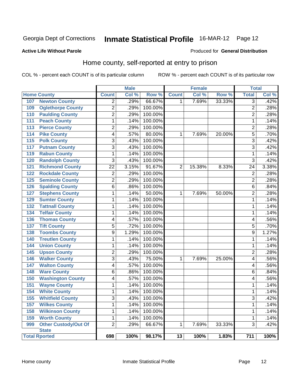#### **Active Life Without Parole**

#### Produced for **General Distribution**

### Home county, self-reported at entry to prison

|                  |                             |                | <b>Male</b> |         |                 | <b>Female</b> |        | <b>Total</b>             |       |
|------------------|-----------------------------|----------------|-------------|---------|-----------------|---------------|--------|--------------------------|-------|
|                  | <b>Home County</b>          | <b>Count</b>   | Col %       | Row %   | <b>Count</b>    | Col %         | Row %  | <b>Total</b>             | Col % |
| 107              | <b>Newton County</b>        | $\overline{2}$ | .29%        | 66.67%  | 1               | 7.69%         | 33.33% | $\overline{3}$           | .42%  |
| 109              | <b>Oglethorpe County</b>    | $\overline{2}$ | .29%        | 100.00% |                 |               |        | $\overline{2}$           | .28%  |
| 110              | <b>Paulding County</b>      | $\overline{2}$ | .29%        | 100.00% |                 |               |        | $\overline{2}$           | .28%  |
| 111              | <b>Peach County</b>         | $\mathbf{1}$   | .14%        | 100.00% |                 |               |        | 1                        | .14%  |
| $\overline{113}$ | <b>Pierce County</b>        | $\overline{2}$ | .29%        | 100.00% |                 |               |        | $\overline{2}$           | .28%  |
| 114              | <b>Pike County</b>          | 4              | .57%        | 80.00%  | $\mathbf{1}$    | 7.69%         | 20.00% | 5                        | .70%  |
| $\overline{115}$ | <b>Polk County</b>          | 3              | .43%        | 100.00% |                 |               |        | $\overline{3}$           | .42%  |
| 117              | <b>Putnam County</b>        | 3              | .43%        | 100.00% |                 |               |        | $\overline{3}$           | .42%  |
| 119              | <b>Rabun County</b>         | 1              | .14%        | 100.00% |                 |               |        | 1                        | .14%  |
| 120              | <b>Randolph County</b>      | 3              | .43%        | 100.00% |                 |               |        | $\overline{3}$           | .42%  |
| 121              | <b>Richmond County</b>      | 22             | 3.15%       | 91.67%  | $\overline{2}$  | 15.38%        | 8.33%  | 24                       | 3.38% |
| 122              | <b>Rockdale County</b>      | $\overline{2}$ | .29%        | 100.00% |                 |               |        | $\overline{2}$           | .28%  |
| $\overline{125}$ | <b>Seminole County</b>      | $\overline{2}$ | .29%        | 100.00% |                 |               |        | $\overline{2}$           | .28%  |
| 126              | <b>Spalding County</b>      | $\overline{6}$ | .86%        | 100.00% |                 |               |        | $\overline{6}$           | .84%  |
| 127              | <b>Stephens County</b>      | 1              | .14%        | 50.00%  | $\mathbf{1}$    | 7.69%         | 50.00% | $\overline{2}$           | .28%  |
| 129              | <b>Sumter County</b>        | $\mathbf{1}$   | .14%        | 100.00% |                 |               |        | 1                        | .14%  |
| 132              | <b>Tattnall County</b>      | $\mathbf{1}$   | .14%        | 100.00% |                 |               |        | $\mathbf 1$              | .14%  |
| 134              | <b>Telfair County</b>       | $\mathbf{1}$   | .14%        | 100.00% |                 |               |        | 1                        | .14%  |
| 136              | <b>Thomas County</b>        | 4              | .57%        | 100.00% |                 |               |        | 4                        | .56%  |
| $\overline{137}$ | <b>Tift County</b>          | 5              | .72%        | 100.00% |                 |               |        | 5                        | .70%  |
| 138              | <b>Toombs County</b>        | 9              | 1.29%       | 100.00% |                 |               |        | 9                        | 1.27% |
| 140              | <b>Treutlen County</b>      | 1              | .14%        | 100.00% |                 |               |        | 1                        | .14%  |
| 144              | <b>Union County</b>         | $\mathbf{1}$   | .14%        | 100.00% |                 |               |        | 1                        | .14%  |
| 145              | <b>Upson County</b>         | $\overline{2}$ | .29%        | 100.00% |                 |               |        | $\overline{2}$           | .28%  |
| 146              | <b>Walker County</b>        | $\overline{3}$ | .43%        | 75.00%  | $\mathbf{1}$    | 7.69%         | 25.00% | $\overline{\mathbf{4}}$  | .56%  |
| $\overline{147}$ | <b>Walton County</b>        | 4              | .57%        | 100.00% |                 |               |        | $\overline{\mathbf{4}}$  | .56%  |
| 148              | <b>Ware County</b>          | 6              | .86%        | 100.00% |                 |               |        | 6                        | .84%  |
| 150              | <b>Washington County</b>    | 4              | .57%        | 100.00% |                 |               |        | $\overline{\mathcal{A}}$ | .56%  |
| 151              | <b>Wayne County</b>         | $\mathbf{1}$   | .14%        | 100.00% |                 |               |        | 1                        | .14%  |
| 154              | <b>White County</b>         | $\mathbf{1}$   | .14%        | 100.00% |                 |               |        | 1                        | .14%  |
| 155              | <b>Whitfield County</b>     | 3              | .43%        | 100.00% |                 |               |        | 3                        | .42%  |
| 157              | <b>Wilkes County</b>        | $\mathbf{1}$   | .14%        | 100.00% |                 |               |        | 1                        | .14%  |
| 158              | <b>Wilkinson County</b>     | $\mathbf{1}$   | .14%        | 100.00% |                 |               |        | 1                        | .14%  |
| 159              | <b>Worth County</b>         | $\mathbf{1}$   | .14%        | 100.00% |                 |               |        | 1                        | .14%  |
| 999              | <b>Other Custody/Out Of</b> | $\overline{2}$ | .29%        | 66.67%  | 1               | 7.69%         | 33.33% | 3                        | .42%  |
|                  | <b>State</b>                |                |             |         |                 |               |        |                          |       |
|                  | <b>Total Rported</b>        | 698            | 100%        | 98.17%  | $\overline{13}$ | 100%          | 1.83%  | 711                      | 100%  |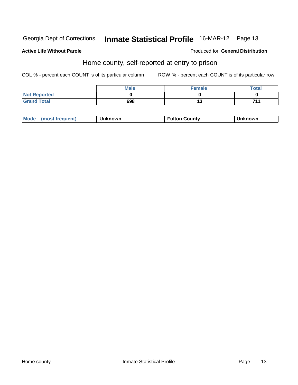#### **Active Life Without Parole**

Produced for **General Distribution**

### Home county, self-reported at entry to prison

|                     | <b>Male</b> | <b>Female</b> | <b>Total</b> |
|---------------------|-------------|---------------|--------------|
| <b>Not Reported</b> |             |               |              |
| <b>Grand Total</b>  | 698         | ∪י            | 744          |

| Mode<br>(most frequent)<br>Unknown | <b>Fulton County</b> | nown |
|------------------------------------|----------------------|------|
|------------------------------------|----------------------|------|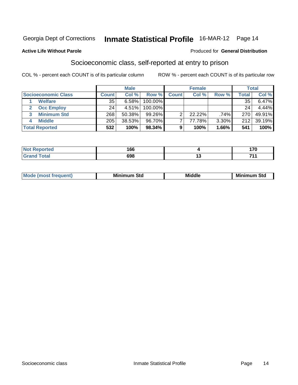#### **Active Life Without Parole**

#### Produced for **General Distribution**

### Socioeconomic class, self-reported at entry to prison

|                            | <b>Male</b> |           |         | <b>Female</b> |        |          | <b>Total</b> |          |
|----------------------------|-------------|-----------|---------|---------------|--------|----------|--------------|----------|
| <b>Socioeconomic Class</b> | Count l     | Col %     | Row %   | <b>Count</b>  | Col %  | Row %    | Total        | Col %    |
| <b>Welfare</b>             | 35          | 6.58%     | 100.00% |               |        |          | 35           | $6.47\%$ |
| <b>Occ Employ</b>          | 24          | $4.51\%$  | 100.00% |               |        |          | 24           | 4.44%    |
| <b>Minimum Std</b><br>3    | 268         | $50.38\%$ | 99.26%  |               | 22.22% | .74%     | 270          | 49.91%   |
| <b>Middle</b>              | 205         | 38.53%    | 96.70%  |               | 77.78% | $3.30\%$ | 212          | 39.19%   |
| <b>Total Reported</b>      | 532         | 100%      | 98.34%  |               | 100%   | 1.66%    | 541          | 100%     |

| ب سائند<br>тес                  | 166 |     | 170 |
|---------------------------------|-----|-----|-----|
| $\mathcal{L}$ and $\mathcal{L}$ | 698 | . . | 741 |

|  | M | <br>Std | Mid | .<br>. .<br>Mı<br>olu<br>____ |
|--|---|---------|-----|-------------------------------|
|--|---|---------|-----|-------------------------------|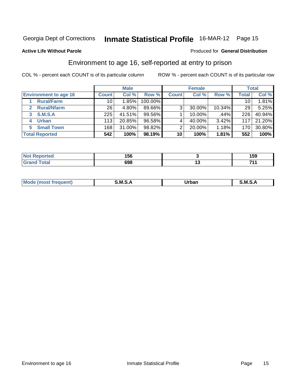#### **Active Life Without Parole**

#### Produced for **General Distribution**

### Environment to age 16, self-reported at entry to prison

|                              |                 | <b>Male</b> |         |              | <b>Female</b> |        |       | <b>Total</b> |
|------------------------------|-----------------|-------------|---------|--------------|---------------|--------|-------|--------------|
| <b>Environment to age 16</b> | <b>Count</b>    | Col %       | Row %   | <b>Count</b> | Col %         | Row %  | Total | Col %        |
| <b>Rural/Farm</b>            | 10 <sub>1</sub> | 1.85%       | 100.00% |              |               |        | 10    | 1.81%        |
| <b>Rural/Nfarm</b><br>2      | 26              | 4.80%       | 89.66%  | 3            | 30.00%        | 10.34% | 29    | 5.25%        |
| <b>S.M.S.A</b><br>3          | 225             | 41.51%      | 99.56%  |              | 10.00%        | .44%   | 226   | 40.94%       |
| <b>Urban</b>                 | 113             | 20.85%      | 96.58%  |              | 40.00%        | 3.42%  | 117   | 21.20%       |
| <b>Small Town</b><br>5.      | 168             | 31.00%      | 98.82%  | 2            | 20.00%        | 1.18%  | 170   | 30.80%       |
| <b>Total Reported</b>        | 542             | 100%        | 98.19%  | 10           | 100%          | 1.81%  | 552   | 100%         |

| ਾted                | 156 |    | 159 |
|---------------------|-----|----|-----|
| <b>Total</b><br>uuu | 698 | '' | 74  |

| M <sub>c</sub><br>$\sim$ $\sim$ $\sim$ $\sim$ $\sim$ $\sim$ | M<br>$\mathbf{r}$<br>______ | Irhan<br>_____ | M |
|-------------------------------------------------------------|-----------------------------|----------------|---|
|                                                             |                             |                |   |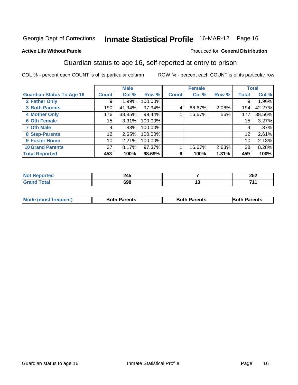#### **Active Life Without Parole**

#### Produced for **General Distribution**

### Guardian status to age 16, self-reported at entry to prison

|                                  |                 | <b>Male</b> |         |              | <b>Female</b> |          |              | <b>Total</b> |
|----------------------------------|-----------------|-------------|---------|--------------|---------------|----------|--------------|--------------|
| <b>Guardian Status To Age 16</b> | <b>Count</b>    | Col %       | Row %   | <b>Count</b> | Col %         | Row %    | <b>Total</b> | Col %        |
| 2 Father Only                    | 9               | 1.99%       | 100.00% |              |               |          | 9            | 1.96%        |
| <b>3 Both Parents</b>            | 190             | 41.94%      | 97.94%  | 4            | 66.67%        | $2.06\%$ | 194          | 42.27%       |
| <b>4 Mother Only</b>             | 176             | 38.85%      | 99.44%  |              | 16.67%        | .56%     | 177          | 38.56%       |
| <b>6 Oth Female</b>              | 15 <sub>1</sub> | 3.31%       | 100.00% |              |               |          | 15           | 3.27%        |
| <b>7 Oth Male</b>                | 4               | .88%        | 100.00% |              |               |          | 4            | .87%         |
| 8 Step-Parents                   | 12 <sub>1</sub> | 2.65%       | 100.00% |              |               |          | 12           | 2.61%        |
| 9 Foster Home                    | 10              | 2.21%       | 100.00% |              |               |          | 10           | 2.18%        |
| <b>10 Grand Parents</b>          | 37              | 8.17%       | 97.37%  |              | 16.67%        | 2.63%    | 38           | 8.28%        |
| <b>Total Reported</b>            | 453             | 100%        | 98.69%  | 6            | 100%          | 1.31%    | 459          | 100%         |

| _      | <b>SAC</b><br>---<br>$\sim$ |         | つにつ<br>ZJZ |
|--------|-----------------------------|---------|------------|
| ______ |                             | י<br>__ | 74.4       |

| <b>Mode (most frequent)</b> | <b>Both Parents</b> | <b>Both Parents</b> | <b>Both Parents</b> |
|-----------------------------|---------------------|---------------------|---------------------|
|                             |                     |                     |                     |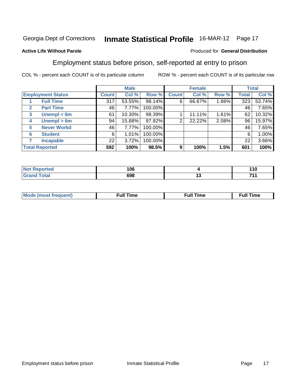#### **Active Life Without Parole**

#### Produced for **General Distribution**

### Employment status before prison, self-reported at entry to prison

|                                  |              | <b>Male</b> |         |              | <b>Female</b> |          |       | <b>Total</b> |
|----------------------------------|--------------|-------------|---------|--------------|---------------|----------|-------|--------------|
| <b>Employment Status</b>         | <b>Count</b> | Col %       | Row %   | <b>Count</b> | Col %         | Row %    | Total | Col %        |
| <b>Full Time</b>                 | 317          | 53.55%      | 98.14%  | 6            | 66.67%        | $1.86\%$ | 323   | 53.74%       |
| <b>Part Time</b><br>$\mathbf{2}$ | 46           | 7.77%       | 100.00% |              |               |          | 46    | 7.65%        |
| Unempl $<$ 6m<br>3               | 61           | 10.30%      | 98.39%  |              | 11.11%        | 1.61%    | 62    | 10.32%       |
| Unempl $> 6m$<br>4               | 94           | 15.88%      | 97.92%  | 2            | 22.22%        | 2.08%    | 96    | 15.97%       |
| <b>Never Workd</b><br>5          | 46           | 7.77%       | 100.00% |              |               |          | 46    | 7.65%        |
| <b>Student</b><br>6              | 6            | 1.01%       | 100.00% |              |               |          | 6     | 1.00%        |
| <b>Incapable</b>                 | 22           | 3.72%       | 100.00% |              |               |          | 22    | 3.66%        |
| <b>Total Reported</b>            | 592          | 100%        | 98.5%   | 9            | 100%          | 1.5%     | 601   | 100%         |

| neo   | 106 | - - -<br>יי |
|-------|-----|-------------|
| ัวta⊾ | 698 | <br>744     |

| M | .<br>uı | ึu⊪<br>the contract of the contract of the contract of the contract of the contract of the contract of the contract of the contract of the contract of the contract of the contract of the contract of the contract of the contract o | <b>Full Time</b> |
|---|---------|---------------------------------------------------------------------------------------------------------------------------------------------------------------------------------------------------------------------------------------|------------------|
|   |         |                                                                                                                                                                                                                                       |                  |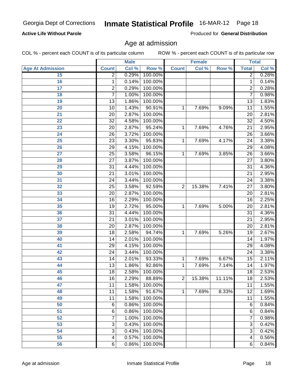#### **Active Life Without Parole**

Produced for **General Distribution**

### Age at admission

|                         |                           | <b>Male</b> |         |                | <b>Female</b> |        |                 | <b>Total</b>        |
|-------------------------|---------------------------|-------------|---------|----------------|---------------|--------|-----------------|---------------------|
| <b>Age At Admission</b> | <b>Count</b>              | Col %       | Row %   | <b>Count</b>   | Col %         | Row %  | <b>Total</b>    | Col %               |
| 15                      | $\overline{2}$            | 0.29%       | 100.00% |                |               |        | $\overline{2}$  | 0.28%               |
| 16                      | 1                         | 0.14%       | 100.00% |                |               |        | $\mathbf{1}$    | 0.14%               |
| 17                      | $\overline{\mathbf{c}}$   | 0.29%       | 100.00% |                |               |        | $\overline{2}$  | 0.28%               |
| 18                      | $\overline{7}$            | 1.00%       | 100.00% |                |               |        | 7               | 0.98%               |
| 19                      | 13                        | 1.86%       | 100.00% |                |               |        | 13              | 1.83%               |
| 20                      | 10                        | 1.43%       | 90.91%  | 1              | 7.69%         | 9.09%  | 11              | 1.55%               |
| 21                      | 20                        | 2.87%       | 100.00% |                |               |        | 20              | 2.81%               |
| 22                      | 32                        | 4.58%       | 100.00% |                |               |        | 32              | 4.50%               |
| 23                      | 20                        | 2.87%       | 95.24%  | 1              | 7.69%         | 4.76%  | 21              | 2.95%               |
| 24                      | 26                        | 3.72%       | 100.00% |                |               |        | 26              | 3.66%               |
| 25                      | 23                        | 3.30%       | 95.83%  | 1              | 7.69%         | 4.17%  | $\overline{24}$ | 3.38%               |
| 26                      | 29                        | 4.15%       | 100.00% |                |               |        | 29              | 4.08%               |
| 27                      | 25                        | 3.58%       | 96.15%  | $\mathbf{1}$   | 7.69%         | 3.85%  | 26              | 3.66%               |
| 28                      | 27                        | 3.87%       | 100.00% |                |               |        | 27              | 3.80%               |
| 29                      | 31                        | 4.44%       | 100.00% |                |               |        | $\overline{31}$ | 4.36%               |
| 30                      | 21                        | 3.01%       | 100.00% |                |               |        | 21              | 2.95%               |
| 31                      | 24                        | 3.44%       | 100.00% |                |               |        | 24              | 3.38%               |
| 32                      | 25                        | 3.58%       | 92.59%  | $\overline{2}$ | 15.38%        | 7.41%  | 27              | 3.80%               |
| 33                      | 20                        | 2.87%       | 100.00% |                |               |        | 20              | 2.81%               |
| 34                      | 16                        | 2.29%       | 100.00% |                |               |        | 16              | 2.25%               |
| 35                      | 19                        | 2.72%       | 95.00%  | $\mathbf{1}$   | 7.69%         | 5.00%  | 20              | 2.81%               |
| 36                      | 31                        | 4.44%       | 100.00% |                |               |        | 31              | 4.36%               |
| 37                      | 21                        | 3.01%       | 100.00% |                |               |        | $\overline{21}$ | 2.95%               |
| 38                      | 20                        | 2.87%       | 100.00% |                |               |        | 20              | 2.81%               |
| 39                      | 18                        | 2.58%       | 94.74%  | 1              | 7.69%         | 5.26%  | 19              | 2.67%               |
| 40                      | 14                        | 2.01%       | 100.00% |                |               |        | 14              | 1.97%               |
| 41                      | 29                        | 4.15%       | 100.00% |                |               |        | 29              | 4.08%               |
| 42                      | 24                        | 3.44%       | 100.00% |                |               |        | 24              | 3.38%               |
| 43                      | 14                        | 2.01%       | 93.33%  | 1              | 7.69%         | 6.67%  | 15              | 2.11%               |
| 44                      | 13                        | 1.86%       | 92.86%  | 1              | 7.69%         | 7.14%  | 14              | 1.97%               |
| 45                      | 18                        | 2.58%       | 100.00% |                |               |        | 18              | 2.53%               |
| 46                      | 16                        | 2.29%       | 88.89%  | $\overline{2}$ | 15.38%        | 11.11% | 18              | 2.53%               |
| 47                      | 11                        | 1.58%       | 100.00% |                |               |        | 11              | 1.55%               |
| 48                      | 11                        | 1.58%       | 91.67%  | $\mathbf{1}$   | 7.69%         | 8.33%  | 12              | 1.69%               |
| 49                      | 11                        | 1.58%       | 100.00% |                |               |        | 11              | 1.55%               |
| 50                      | 6                         | 0.86%       | 100.00% |                |               |        | 6               | 0.84%               |
| 51                      | 6                         | 0.86%       | 100.00% |                |               |        | 6               | 0.84%               |
| 52                      | 7                         | 1.00%       | 100.00% |                |               |        | 7               | 0.98%               |
| 53                      | $\ensuremath{\mathsf{3}}$ | 0.43%       | 100.00% |                |               |        | 3               | 0.42%               |
| 54                      | 3                         | 0.43%       | 100.00% |                |               |        | 3               | $\overline{0.42\%}$ |
| 55                      | 4                         | 0.57%       | 100.00% |                |               |        | 4               | 0.56%               |
| 56                      | 6                         | 0.86%       | 100.00% |                |               |        | 6               | 0.84%               |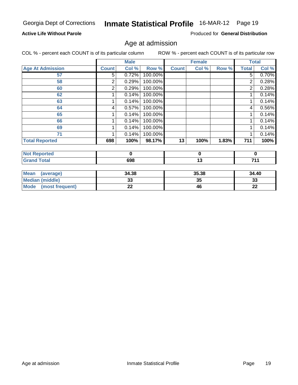### **Active Life Without Parole**

Produced for **General Distribution**

### Age at admission

|                                |                | <b>Male</b> |         |              | <b>Female</b> |       |                | <b>Total</b> |
|--------------------------------|----------------|-------------|---------|--------------|---------------|-------|----------------|--------------|
| <b>Age At Admission</b>        | <b>Count</b>   | Col %       | Row %   | <b>Count</b> | Col %         | Row % | <b>Total</b>   | Col %        |
| 57                             | 5              | 0.72%       | 100.00% |              |               |       | 5              | 0.70%        |
| 58                             | $\overline{c}$ | 0.29%       | 100.00% |              |               |       | 2              | 0.28%        |
| 60                             | 2              | 0.29%       | 100.00% |              |               |       | $\overline{2}$ | 0.28%        |
| 62                             |                | 0.14%       | 100.00% |              |               |       |                | 0.14%        |
| 63                             |                | 0.14%       | 100.00% |              |               |       | 1              | 0.14%        |
| 64                             | 4              | 0.57%       | 100.00% |              |               |       | 4              | 0.56%        |
| 65                             |                | 0.14%       | 100.00% |              |               |       | 1              | 0.14%        |
| 66                             |                | 0.14%       | 100.00% |              |               |       | 1              | 0.14%        |
| 69                             |                | 0.14%       |         |              |               |       | 1              | 0.14%        |
| 71                             |                | 0.14%       | 100.00% |              |               |       |                | 0.14%        |
| <b>Total Reported</b>          | 698            | 100%        | 98.17%  | 13           | 100%          | 1.83% | 711            | 100%         |
| <b>Not Reported</b>            |                | $\mathbf 0$ |         |              | $\mathbf 0$   |       |                | $\bf{0}$     |
| <b>Grand Total</b>             |                | 698         |         |              | 13            |       |                | 711          |
|                                |                |             |         |              |               |       |                |              |
| <b>Mean</b><br>(average)       |                | 34.38       |         |              | 35.38         |       | 34.40          |              |
| <b>Median (middle)</b>         |                | 33          |         |              | 35            |       |                | 33           |
| <b>Mode</b><br>(most frequent) |                | 22          |         |              | 46            |       | 22             |              |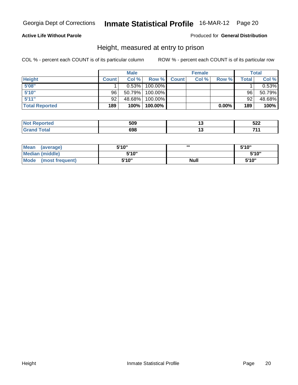### **Active Life Without Parole**

#### Produced for **General Distribution**

### Height, measured at entry to prison

|                       |              | <b>Male</b> |            |              | <b>Female</b> |          |       | Total    |
|-----------------------|--------------|-------------|------------|--------------|---------------|----------|-------|----------|
| <b>Height</b>         | <b>Count</b> | Col %       | Row %      | <b>Count</b> | Col %         | Row %    | Total | Col %    |
| 5'08''                |              | 0.53%       | 100.00%    |              |               |          |       | $0.53\%$ |
| 5'10"                 | 96           | 50.79%      | $100.00\%$ |              |               |          | 96    | 50.79%   |
| 5'11"                 | 92           | 48.68%      | $100.00\%$ |              |               |          | 92    | 48.68%   |
| <b>Total Reported</b> | 189          | $100\%$     | 100.00%    |              |               | $0.00\%$ | 189   | 100%     |

| <b>Not</b><br>.eported | 509 | ⊶  | 522  |
|------------------------|-----|----|------|
| 'Grand<br><b>Total</b> | 698 | יי | 74 A |

| Mean<br>(average)       | 5'10" | .           | 5'10" |
|-------------------------|-------|-------------|-------|
| Median (middle)         | 5'10" |             | 5'10" |
| Mode<br>(most frequent) | 5'10" | <b>Null</b> | 5'10" |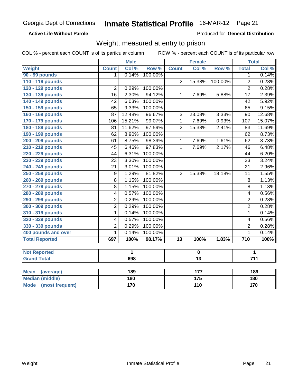#### **Active Life Without Parole**

Produced for **General Distribution**

### Weight, measured at entry to prison

|                          |                  | <b>Male</b>  |         |                 | <b>Female</b>    |         |                         | <b>Total</b>     |  |
|--------------------------|------------------|--------------|---------|-----------------|------------------|---------|-------------------------|------------------|--|
| Weight                   | <b>Count</b>     | Col %        | Row %   | <b>Count</b>    | Col %            | Row %   | <b>Total</b>            | Col %            |  |
| <b>90 - 99 pounds</b>    | 1                | 0.14%        | 100.00% |                 |                  |         | 1                       | 0.14%            |  |
| 110 - 119 pounds         |                  |              |         | $\overline{2}$  | 15.38%           | 100.00% | $\overline{c}$          | 0.28%            |  |
| 120 - 129 pounds         | 2                | 0.29%        | 100.00% |                 |                  |         | $\overline{2}$          | 0.28%            |  |
| 130 - 139 pounds         | 16               | 2.30%        | 94.12%  | $\mathbf{1}$    | 7.69%            | 5.88%   | $\overline{17}$         | 2.39%            |  |
| 140 - 149 pounds         | 42               | 6.03%        | 100.00% |                 |                  |         | 42                      | 5.92%            |  |
| 150 - 159 pounds         | 65               | 9.33%        | 100.00% |                 |                  |         | 65                      | 9.15%            |  |
| 160 - 169 pounds         | 87               | 12.48%       | 96.67%  | 3               | 23.08%           | 3.33%   | 90                      | 12.68%           |  |
| 170 - 179 pounds         | 106              | 15.21%       | 99.07%  | 1               | 7.69%            | 0.93%   | 107                     | 15.07%           |  |
| 180 - 189 pounds         | 81               | 11.62%       | 97.59%  | $\overline{2}$  | 15.38%           | 2.41%   | 83                      | 11.69%           |  |
| 190 - 199 pounds         | 62               | 8.90%        | 100.00% |                 |                  |         | $\overline{62}$         | 8.73%            |  |
| 200 - 209 pounds         | 61               | 8.75%        | 98.39%  | $\mathbf{1}$    | 7.69%            | 1.61%   | $\overline{62}$         | 8.73%            |  |
| 210 - 219 pounds         | 45               | 6.46%        | 97.83%  | $\mathbf{1}$    | 7.69%            | 2.17%   | 46                      | 6.48%            |  |
| 220 - 229 pounds         | 44               | 6.31%        | 100.00% |                 |                  |         | 44                      | 6.20%            |  |
| 230 - 239 pounds         | 23               | 3.30%        | 100.00% |                 |                  |         | 23                      | 3.24%            |  |
| 240 - 249 pounds         | 21               | 3.01%        | 100.00% |                 |                  |         | 21                      | 2.96%            |  |
| 250 - 259 pounds         | $\boldsymbol{9}$ | 1.29%        | 81.82%  | $\overline{2}$  | 15.38%           | 18.18%  | 11                      | 1.55%            |  |
| 260 - 269 pounds         | 8                | 1.15%        | 100.00% |                 |                  |         | 8                       | 1.13%            |  |
| 270 - 279 pounds         | 8                | 1.15%        | 100.00% |                 |                  |         | 8                       | 1.13%            |  |
| 280 - 289 pounds         | 4                | 0.57%        | 100.00% |                 |                  |         | $\overline{4}$          | 0.56%            |  |
| 290 - 299 pounds         | $\overline{2}$   | 0.29%        | 100.00% |                 |                  |         | $\overline{2}$          | 0.28%            |  |
| 300 - 309 pounds         | $\overline{2}$   | 0.29%        | 100.00% |                 |                  |         | $\overline{\mathbf{c}}$ | 0.28%            |  |
| 310 - 319 pounds         | 1                | 0.14%        | 100.00% |                 |                  |         | $\mathbf{1}$            | 0.14%            |  |
| 320 - 329 pounds         | 4                | 0.57%        | 100.00% |                 |                  |         | 4                       | 0.56%            |  |
| 330 - 339 pounds         | 2                | 0.29%        | 100.00% |                 |                  |         | $\overline{2}$          | 0.28%            |  |
| 400 pounds and over      | $\mathbf{1}$     | 0.14%        | 100.00% |                 |                  |         | $\mathbf{1}$            | 0.14%            |  |
| <b>Total Reported</b>    | 697              | 100%         | 98.17%  | $\overline{13}$ | 100%             | 1.83%   | 710                     | 100%             |  |
|                          |                  |              |         |                 |                  |         |                         |                  |  |
| <b>Not Reported</b>      |                  | $\mathbf{1}$ |         |                 | $\mathbf 0$      |         |                         | 1                |  |
| <b>Grand Total</b>       |                  | 698          |         |                 | $\overline{13}$  |         |                         | $\overline{711}$ |  |
|                          |                  |              |         |                 |                  |         |                         |                  |  |
| <b>Mean</b><br>(average) |                  | 189          |         |                 | 177              |         |                         | 189              |  |
| <b>Median (middle)</b>   |                  | 180          |         |                 | $\overline{175}$ |         |                         | 180              |  |
| Mode (most frequent)     |                  | 170          |         |                 | 110              |         | 170                     |                  |  |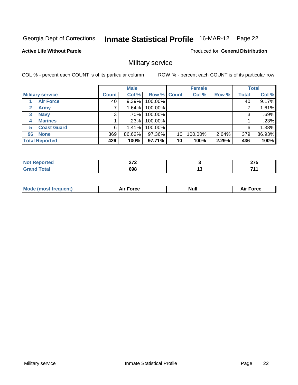#### **Active Life Without Parole**

Produced for **General Distribution**

### Military service

|              |                         |              | <b>Male</b> |             |    | <b>Female</b> |       |              | <b>Total</b> |
|--------------|-------------------------|--------------|-------------|-------------|----|---------------|-------|--------------|--------------|
|              | <b>Military service</b> | <b>Count</b> | Col %       | Row % Count |    | Col %         | Row % | <b>Total</b> | Col %        |
|              | <b>Air Force</b>        | 40           | 9.39%       | 100.00%     |    |               |       | 40           | 9.17%        |
| $\mathbf{2}$ | <b>Army</b>             |              | 1.64%       | 100.00%     |    |               |       |              | 1.61%        |
| 3            | <b>Navy</b>             | 3            | $.70\%$     | 100.00%     |    |               |       | 3            | .69%         |
| 4            | <b>Marines</b>          |              | .23%        | 100.00%     |    |               |       |              | .23%         |
| 5            | <b>Coast Guard</b>      | 6            | 1.41%       | 100.00%     |    |               |       | 6            | 1.38%        |
| 96           | <b>None</b>             | 369          | 86.62%      | 97.36%      | 10 | 100.00%       | 2.64% | 379          | 86.93%       |
|              | <b>Total Reported</b>   | 426          | 100%        | 97.71%      | 10 | 100%          | 2.29% | 436          | 100%         |

| Ή | $\sim$<br>. |     | $\sim$<br>.  |
|---|-------------|-----|--------------|
|   | 698         | . . | 74.<br>- - - |

| <b>Nul</b><br>Force<br>ent)<br>vc<br>¬…<br>_____<br>______ |
|------------------------------------------------------------|
|------------------------------------------------------------|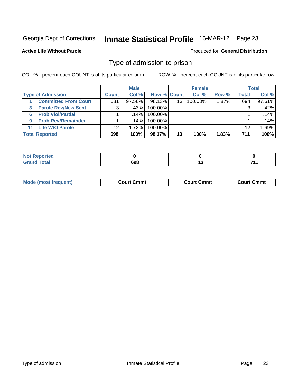#### **Active Life Without Parole**

#### Produced for **General Distribution**

### Type of admission to prison

|    |                             |              | <b>Male</b> |                    |    | <b>Female</b> |       |       | <b>Total</b> |
|----|-----------------------------|--------------|-------------|--------------------|----|---------------|-------|-------|--------------|
|    | <b>Type of Admission</b>    | <b>Count</b> | Col %       | <b>Row % Count</b> |    | Col %         | Row % | Total | Col %        |
|    | <b>Committed From Court</b> | 681          | 97.56%      | 98.13%             | 13 | 100.00%       | 1.87% | 694   | 97.61%       |
| 3  | <b>Parole Rev/New Sent</b>  | 3            | .43%        | 100.00%            |    |               |       | 3     | .42%         |
| 6  | <b>Prob Viol/Partial</b>    |              | ا 14%.      | 100.00%            |    |               |       |       | .14%         |
| 9  | <b>Prob Rev/Remainder</b>   |              | $.14\%$     | 100.00%            |    |               |       |       | .14%         |
| 11 | <b>Life W/O Parole</b>      | 12           | $1.72\%$    | 100.00%            |    |               |       | 12    | 1.69%        |
|    | <b>Total Reported</b>       | 698          | 100%        | 98.17%             | 13 | 100%          | 1.83% | 711   | 100%         |

| ported?                      |     |     |     |
|------------------------------|-----|-----|-----|
| <b>Total</b><br><b>Grand</b> | 698 | . . | 744 |

| <b>Mode</b><br>most frequent) | Cmmt<br>∴ourt∴<br>_ _ _ _ _ _ | Cmmt<br>Court (<br>_ _ _ _ _ _ | Cmmt<br>்பார். |
|-------------------------------|-------------------------------|--------------------------------|----------------|
|                               |                               |                                |                |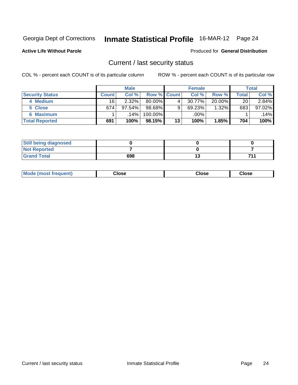**Active Life Without Parole** 

Produced for **General Distribution**

### Current / last security status

|                        |         | <b>Male</b> |             |    | <b>Female</b> |           |       | <b>Total</b> |
|------------------------|---------|-------------|-------------|----|---------------|-----------|-------|--------------|
| <b>Security Status</b> | Count l | Col %       | Row % Count |    | Col %         | Row %     | Total | Col %        |
| 4 Medium               | 16      | 2.32%       | $80.00\%$   | 4  | 30.77%        | $20.00\%$ | 20    | $2.84\%$     |
| 5 Close                | 674     | $97.54\%$   | 98.68%      | 9  | 69.23%        | 1.32%     | 683   | 97.02%       |
| <b>6 Maximum</b>       |         | .14%        | 100.00%     |    | .00%          |           |       | .14%         |
| <b>Total Reported</b>  | 691     | 100%        | 98.15%      | 13 | 100%          | 1.85%     | 704   | 100%         |

| <b>Still being diagnosed</b> |     |     |
|------------------------------|-----|-----|
| <b>Not Reported</b>          |     |     |
| <b>Grand Total</b>           | 698 | 74, |

| <b>Mode (most frequent)</b> | Jlose | Close | Close |
|-----------------------------|-------|-------|-------|
|                             |       |       |       |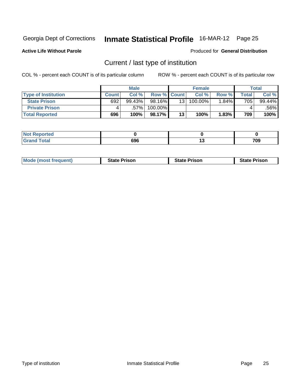**Active Life Without Parole** 

Produced for **General Distribution**

### Current / last type of institution

|                            |              | <b>Male</b> |                    |                 | <b>Female</b> |       |       | Total  |
|----------------------------|--------------|-------------|--------------------|-----------------|---------------|-------|-------|--------|
| <b>Type of Institution</b> | <b>Count</b> | Col %       | <b>Row % Count</b> |                 | Col %         | Row % | Total | Col %  |
| <b>State Prison</b>        | 692          | $99.43\%$   | 98.16% <b>I</b>    | 13 <sup>1</sup> | 100.00%       | 1.84% | 705   | 99.44% |
| <b>Private Prison</b>      |              | .57%        | 100.00%            |                 |               |       |       | .56%   |
| <b>Total Reported</b>      | 696          | 100%        | 98.17%             | 13              | 100%          | 1.83% | 709   | 100%   |

| .<br>τeα         |            |         |
|------------------|------------|---------|
| <b>otal</b><br>- | coc<br>oac | <br>709 |

| <b>Mode (most frequent)</b> | <b>State Prison</b> | <b>State Prison</b> | ∘Prison<br><b>State</b> |
|-----------------------------|---------------------|---------------------|-------------------------|
|                             |                     |                     |                         |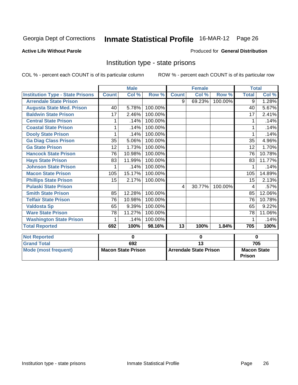#### **Active Life Without Parole**

#### Produced for **General Distribution**

### Institution type - state prisons

|                                         |              | <b>Male</b>               |         |                 | <b>Female</b>                 |         | <b>Total</b>                        |        |
|-----------------------------------------|--------------|---------------------------|---------|-----------------|-------------------------------|---------|-------------------------------------|--------|
| <b>Institution Type - State Prisons</b> | <b>Count</b> | Col %                     | Row %   | <b>Count</b>    | Col %                         | Row %   | <b>Total</b>                        | Col %  |
| <b>Arrendale State Prison</b>           |              |                           |         | 9               | 69.23%                        | 100.00% | 9                                   | 1.28%  |
| <b>Augusta State Med. Prison</b>        | 40           | 5.78%                     | 100.00% |                 |                               |         | 40                                  | 5.67%  |
| <b>Baldwin State Prison</b>             | 17           | 2.46%                     | 100.00% |                 |                               |         | 17                                  | 2.41%  |
| <b>Central State Prison</b>             | 1            | .14%                      | 100.00% |                 |                               |         | 1                                   | .14%   |
| <b>Coastal State Prison</b>             | 1            | .14%                      | 100.00% |                 |                               |         | 1                                   | .14%   |
| <b>Dooly State Prison</b>               | 1            | .14%                      | 100.00% |                 |                               |         | 1                                   | .14%   |
| <b>Ga Diag Class Prison</b>             | 35           | 5.06%                     | 100.00% |                 |                               |         | 35                                  | 4.96%  |
| <b>Ga State Prison</b>                  | 12           | 1.73%                     | 100.00% |                 |                               |         | 12                                  | 1.70%  |
| <b>Hancock State Prison</b>             | 76           | 10.98%                    | 100.00% |                 |                               |         | 76                                  | 10.78% |
| <b>Hays State Prison</b>                | 83           | 11.99%                    | 100.00% |                 |                               |         | 83                                  | 11.77% |
| <b>Johnson State Prison</b>             | 1            | .14%                      | 100.00% |                 |                               |         | 1                                   | .14%   |
| <b>Macon State Prison</b>               | 105          | 15.17%                    | 100.00% |                 |                               |         | 105                                 | 14.89% |
| <b>Phillips State Prison</b>            | 15           | 2.17%                     | 100.00% |                 |                               |         | 15                                  | 2.13%  |
| <b>Pulaski State Prison</b>             |              |                           |         | 4               | 30.77%                        | 100.00% | 4                                   | .57%   |
| <b>Smith State Prison</b>               | 85           | 12.28%                    | 100.00% |                 |                               |         | 85                                  | 12.06% |
| <b>Telfair State Prison</b>             | 76           | 10.98%                    | 100.00% |                 |                               |         | 76                                  | 10.78% |
| <b>Valdosta Sp</b>                      | 65           | 9.39%                     | 100.00% |                 |                               |         | 65                                  | 9.22%  |
| <b>Ware State Prison</b>                | 78           | 11.27%                    | 100.00% |                 |                               |         | 78                                  | 11.06% |
| <b>Washington State Prison</b>          | 1            | .14%                      | 100.00% |                 |                               |         | 1                                   | .14%   |
| <b>Total Reported</b>                   | 692          | 100%                      | 98.16%  | 13              | 100%                          | 1.84%   | 705                                 | 100%   |
| <b>Not Reported</b>                     |              | $\bf{0}$                  |         | 0               |                               |         | $\bf{0}$                            |        |
| <b>Grand Total</b>                      |              | 692                       |         | $\overline{13}$ |                               |         |                                     | 705    |
| <b>Mode (most frequent)</b>             |              | <b>Macon State Prison</b> |         |                 | <b>Arrendale State Prison</b> |         | <b>Macon State</b><br><b>Prison</b> |        |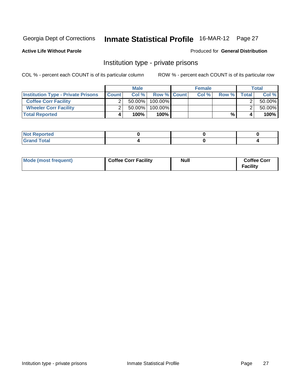**Active Life Without Parole** 

Produced for **General Distribution**

### Institution type - private prisons

|                                           |              | <b>Male</b> |             | <b>Female</b> |       |         | Total  |
|-------------------------------------------|--------------|-------------|-------------|---------------|-------|---------|--------|
| <b>Institution Type - Private Prisons</b> | <b>Count</b> | Col%        | Row % Count | Col %         | Row % | Total l | Col %  |
| <b>Coffee Corr Facility</b>               |              | $50.00\%$   | 100.00%     |               |       |         | 50.00% |
| <b>Wheeler Corr Facility</b>              |              | 50.00%      | 100.00%     |               |       |         | 50.00% |
| <b>Total Reported</b>                     | 4            | 100%        | 100%        |               | %     |         | 100%   |

| ported<br><b>AGE</b><br>$\cdots$    |  |  |
|-------------------------------------|--|--|
| otal<br>$- \cdot - \cdot - \cdot -$ |  |  |

| Mode (most frequent) | <b>Coffee Corr Facility</b> | <b>Null</b> | <b>Coffee Corr</b><br><b>Facility</b> |
|----------------------|-----------------------------|-------------|---------------------------------------|
|----------------------|-----------------------------|-------------|---------------------------------------|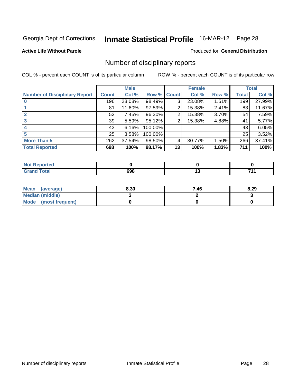#### **Active Life Without Parole**

#### Produced for **General Distribution**

### Number of disciplinary reports

|                                      |              | <b>Male</b> |         |              | <b>Female</b> |       |              | <b>Total</b> |
|--------------------------------------|--------------|-------------|---------|--------------|---------------|-------|--------------|--------------|
| <b>Number of Disciplinary Report</b> | <b>Count</b> | Col %       | Row %   | <b>Count</b> | Col %         | Row % | <b>Total</b> | Col %        |
|                                      | 196          | 28.08%      | 98.49%  | 3            | 23.08%        | 1.51% | 199          | 27.99%       |
|                                      | 81           | 11.60%      | 97.59%  | 2            | 15.38%        | 2.41% | 83           | 11.67%       |
| $\mathbf{2}$                         | 52           | 7.45%       | 96.30%  | 2            | 15.38%        | 3.70% | 54           | 7.59%        |
| 3                                    | 39           | 5.59%       | 95.12%  | 2            | 15.38%        | 4.88% | 41           | 5.77%        |
|                                      | 43           | 6.16%       | 100.00% |              |               |       | 43           | 6.05%        |
| 5                                    | 25           | 3.58%       | 100.00% |              |               |       | 25           | 3.52%        |
| <b>More Than 5</b>                   | 262          | 37.54%      | 98.50%  | 4            | 30.77%        | 1.50% | 266          | 37.41%       |
| <b>Total Reported</b>                | 698          | 100%        | 98.17%  | 13           | 100%          | 1.83% | 711          | 100%         |

| $\sim$<br>______ | coc<br>งฯช | $\sim$ |  |
|------------------|------------|--------|--|

| Mean (average)         | 8.30 | 7.46 | 8.29 |
|------------------------|------|------|------|
| <b>Median (middle)</b> |      |      |      |
| Mode (most frequent)   |      |      |      |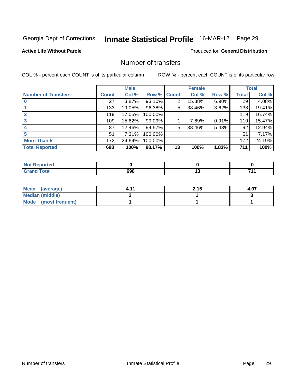#### **Active Life Without Parole**

#### Produced for **General Distribution**

### Number of transfers

|                            |         | <b>Male</b> |         |                | <b>Female</b> |          |              | <b>Total</b> |
|----------------------------|---------|-------------|---------|----------------|---------------|----------|--------------|--------------|
| <b>Number of Transfers</b> | Count l | Col %       | Row %   | <b>Count</b>   | Col %         | Row %    | <b>Total</b> | Col %        |
|                            | 27      | $3.87\%$    | 93.10%  | $\overline{2}$ | 15.38%        | $6.90\%$ | 29           | 4.08%        |
|                            | 133     | 19.05%      | 96.38%  | 5              | 38.46%        | 3.62%    | 138          | 19.41%       |
| $\mathbf{2}$               | 119     | 17.05%      | 100.00% |                |               |          | 119          | 16.74%       |
| 3                          | 109     | 15.62%      | 99.09%  |                | 7.69%         | 0.91%    | 110          | 15.47%       |
|                            | 87      | 12.46%      | 94.57%  | 5              | 38.46%        | 5.43%    | 92           | 12.94%       |
| 5                          | 51      | 7.31%       | 100.00% |                |               |          | 51           | 7.17%        |
| <b>More Than 5</b>         | 172     | 24.64%      | 100.00% |                |               |          | 172          | 24.19%       |
| <b>Total Reported</b>      | 698     | 100%        | 98.17%  | 13             | 100%          | 1.83%    | 711          | 100%         |

| cor.<br>ႦႸႣ<br>$  -$ | $\sim$ |  |
|----------------------|--------|--|

| Mean (average)         | . 44 | 2.15 | 4.07 |
|------------------------|------|------|------|
| <b>Median (middle)</b> |      |      |      |
| Mode (most frequent)   |      |      |      |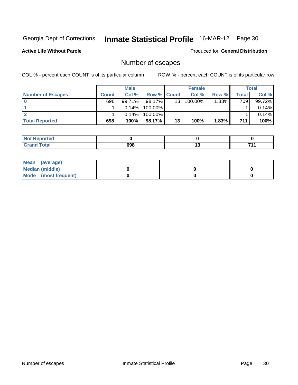**Active Life Without Parole** 

Produced for **General Distribution**

### Number of escapes

|                          |              | <b>Male</b> |                    |    | <b>Female</b> |          |       | <b>Total</b> |
|--------------------------|--------------|-------------|--------------------|----|---------------|----------|-------|--------------|
| <b>Number of Escapes</b> | <b>Count</b> | Col %       | <b>Row % Count</b> |    | Col %         | Row %    | Total | Col %        |
|                          | 696          | 99.71%      | 98.17%             | 13 | 100.00%       | $1.83\%$ | 709   | 99.72%       |
|                          |              | $0.14\%$    | 100.00%            |    |               |          |       | 0.14%        |
|                          |              | $0.14\%$    | 100.00%            |    |               |          |       | 0.14%        |
| <b>Total Reported</b>    | 698          | 100%        | 98.17%             | 13 | 100%          | 1.83%    | 711   | 100%         |

| <b>Not</b><br><b>Reported</b>     |     |     |
|-----------------------------------|-----|-----|
| <b>c</b> otal<br>$\mathbf{v}$ and | 698 | 74. |

| Mean (average)       |  |  |
|----------------------|--|--|
| Median (middle)      |  |  |
| Mode (most frequent) |  |  |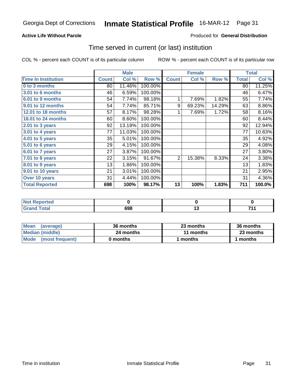### **Active Life Without Parole**

#### Produced for **General Distribution**

### Time served in current (or last) institution

|                            |              | <b>Male</b> |         |                | <b>Female</b> |        |              | <b>Total</b> |
|----------------------------|--------------|-------------|---------|----------------|---------------|--------|--------------|--------------|
| <b>Time In Institution</b> | <b>Count</b> | Col %       | Row %   | <b>Count</b>   | Col %         | Row %  | <b>Total</b> | Col %        |
| 0 to 3 months              | 80           | 11.46%      | 100.00% |                |               |        | 80           | 11.25%       |
| 3.01 to 6 months           | 46           | 6.59%       | 100.00% |                |               |        | 46           | 6.47%        |
| 6.01 to 9 months           | 54           | 7.74%       | 98.18%  | 1              | 7.69%         | 1.82%  | 55           | 7.74%        |
| 9.01 to 12 months          | 54           | 7.74%       | 85.71%  | 9              | 69.23%        | 14.29% | 63           | 8.86%        |
| 12.01 to 18 months         | 57           | 8.17%       | 98.28%  |                | 7.69%         | 1.72%  | 58           | 8.16%        |
| 18.01 to 24 months         | 60           | 8.60%       | 100.00% |                |               |        | 60           | 8.44%        |
| 2.01 to 3 years            | 92           | 13.18%      | 100.00% |                |               |        | 92           | 12.94%       |
| 3.01 to 4 years            | 77           | 11.03%      | 100.00% |                |               |        | 77           | 10.83%       |
| 4.01 to 5 years            | 35           | 5.01%       | 100.00% |                |               |        | 35           | 4.92%        |
| 5.01 to 6 years            | 29           | 4.15%       | 100.00% |                |               |        | 29           | 4.08%        |
| 6.01 to 7 years            | 27           | 3.87%       | 100.00% |                |               |        | 27           | 3.80%        |
| 7.01 to 8 years            | 22           | 3.15%       | 91.67%  | $\overline{2}$ | 15.38%        | 8.33%  | 24           | 3.38%        |
| 8.01 to 9 years            | 13           | 1.86%       | 100.00% |                |               |        | 13           | 1.83%        |
| 9.01 to 10 years           | 21           | 3.01%       | 100.00% |                |               |        | 21           | 2.95%        |
| Over 10 years              | 31           | 4.44%       | 100.00% |                |               |        | 31           | 4.36%        |
| <b>Total Reported</b>      | 698          | 100%        | 98.17%  | 13             | 100%          | 1.83%  | 711          | 100.0%       |

| eported<br>N |     |     |    |
|--------------|-----|-----|----|
|              | 698 | . . | 74 |

| <b>Mean</b><br>(average) | 36 months | 23 months | 36 months |  |
|--------------------------|-----------|-----------|-----------|--|
| Median (middle)          | 24 months | 11 months | 23 months |  |
| Mode (most frequent)     | 0 months  | 1 months  | 1 months  |  |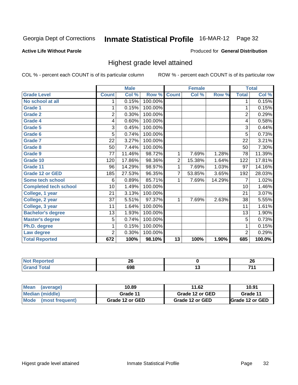#### **Active Life Without Parole**

#### Produced for **General Distribution**

### Highest grade level attained

|                              |                | <b>Male</b> |         |                | <b>Female</b> |        |                | <b>Total</b> |
|------------------------------|----------------|-------------|---------|----------------|---------------|--------|----------------|--------------|
| <b>Grade Level</b>           | <b>Count</b>   | Col %       | Row %   | <b>Count</b>   | Col %         | Row %  | <b>Total</b>   | Col %        |
| No school at all             | 1.             | 0.15%       | 100.00% |                |               |        | 1              | 0.15%        |
| Grade 1                      | 1              | 0.15%       | 100.00% |                |               |        | 1              | 0.15%        |
| <b>Grade 2</b>               | $\overline{2}$ | 0.30%       | 100.00% |                |               |        | 2              | 0.29%        |
| <b>Grade 4</b>               | 4              | 0.60%       | 100.00% |                |               |        | 4              | 0.58%        |
| Grade 5                      | 3              | 0.45%       | 100.00% |                |               |        | 3              | 0.44%        |
| Grade 6                      | 5              | 0.74%       | 100.00% |                |               |        | 5              | 0.73%        |
| <b>Grade 7</b>               | 22             | 3.27%       | 100.00% |                |               |        | 22             | 3.21%        |
| <b>Grade 8</b>               | 50             | 7.44%       | 100.00% |                |               |        | 50             | 7.30%        |
| Grade 9                      | 77             | 11.46%      | 98.72%  | 1              | 7.69%         | 1.28%  | 78             | 11.39%       |
| Grade 10                     | 120            | 17.86%      | 98.36%  | $\overline{2}$ | 15.38%        | 1.64%  | 122            | 17.81%       |
| Grade 11                     | 96             | 14.29%      | 98.97%  | 1              | 7.69%         | 1.03%  | 97             | 14.16%       |
| <b>Grade 12 or GED</b>       | 185            | 27.53%      | 96.35%  | 7              | 53.85%        | 3.65%  | 192            | 28.03%       |
| <b>Some tech school</b>      | 6              | 0.89%       | 85.71%  | 1              | 7.69%         | 14.29% | 7              | 1.02%        |
| <b>Completed tech school</b> | 10             | 1.49%       | 100.00% |                |               |        | 10             | 1.46%        |
| College, 1 year              | 21             | 3.13%       | 100.00% |                |               |        | 21             | 3.07%        |
| College, 2 year              | 37             | 5.51%       | 97.37%  | 1              | 7.69%         | 2.63%  | 38             | 5.55%        |
| College, 3 year              | 11             | 1.64%       | 100.00% |                |               |        | 11             | 1.61%        |
| <b>Bachelor's degree</b>     | 13             | 1.93%       | 100.00% |                |               |        | 13             | 1.90%        |
| <b>Master's degree</b>       | 5              | 0.74%       | 100.00% |                |               |        | 5              | 0.73%        |
| Ph.D. degree                 | 1              | 0.15%       | 100.00% |                |               |        | 1              | 0.15%        |
| Law degree                   | $\overline{2}$ | 0.30%       | 100.00% |                |               |        | $\overline{2}$ | 0.29%        |
| <b>Total Reported</b>        | 672            | 100%        | 98.10%  | 13             | 100%          | 1.90%  | 685            | 100.0%       |

| те и | n,<br>ΔU |     | or.<br>ΔU       |
|------|----------|-----|-----------------|
|      | 698      | ּיי | - -<br>. .<br>. |

| Mean (average)       | 10.89           | 11.62           | 10.91                   |
|----------------------|-----------------|-----------------|-------------------------|
| Median (middle)      | Grade 11        | Grade 12 or GED | Grade 11                |
| Mode (most frequent) | Grade 12 or GED | Grade 12 or GED | <b>IGrade 12 or GED</b> |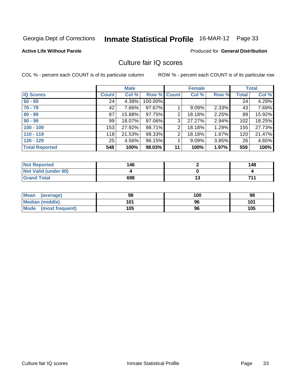#### **Active Life Without Parole**

#### Produced for **General Distribution**

### Culture fair IQ scores

|                       |         | <b>Male</b> |         |              | <b>Female</b> |       |              | <b>Total</b> |
|-----------------------|---------|-------------|---------|--------------|---------------|-------|--------------|--------------|
| <b>IQ Scores</b>      | Count l | Col %       | Row %   | <b>Count</b> | Col %         | Row % | <b>Total</b> | Col %        |
| $60 - 69$             | 24      | 4.38%       | 100.00% |              |               |       | 24           | 4.29%        |
| $70 - 79$             | 42      | 7.66%       | 97.67%  |              | 9.09%         | 2.33% | 43           | 7.69%        |
| $80 - 89$             | 87      | 15.88%      | 97.75%  | 2            | 18.18%        | 2.25% | 89           | 15.92%       |
| $90 - 99$             | 99      | 18.07%      | 97.06%  | 3            | 27.27%        | 2.94% | 102          | 18.25%       |
| $100 - 109$           | 153     | 27.92%      | 98.71%  | 2            | 18.18%        | 1.29% | 155          | 27.73%       |
| $110 - 119$           | 118     | 21.53%      | 98.33%  | 2            | 18.18%        | 1.67% | 120          | 21.47%       |
| $120 - 129$           | 25      | 4.56%       | 96.15%  |              | 9.09%         | 3.85% | 26           | 4.65%        |
| <b>Total Reported</b> | 548     | 100%        | 98.03%  | 11           | 100%          | 1.97% | 559          | 100%         |

| <b>Not Reported</b>         | 146 |   | 148 |
|-----------------------------|-----|---|-----|
| <b>Not Valid (under 60)</b> |     |   |     |
| <b>Grand Total</b>          | 698 | w | 744 |

| Mean (average)       | 98  | 100 | 98  |
|----------------------|-----|-----|-----|
| Median (middle)      | 101 | 96  | 101 |
| Mode (most frequent) | 105 | 96  | 105 |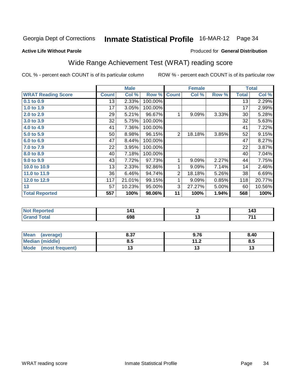#### **Active Life Without Parole**

#### Produced for **General Distribution**

### Wide Range Achievement Test (WRAT) reading score

|                           |              | <b>Male</b> |         | <b>Female</b>  |        |       | <b>Total</b>    |        |  |
|---------------------------|--------------|-------------|---------|----------------|--------|-------|-----------------|--------|--|
| <b>WRAT Reading Score</b> | <b>Count</b> | Col %       | Row %   | <b>Count</b>   | Col %  | Row % | <b>Total</b>    | Col %  |  |
| 0.1 to 0.9                | 13           | 2.33%       | 100.00% |                |        |       | $\overline{13}$ | 2.29%  |  |
| 1.0 to 1.9                | 17           | 3.05%       | 100.00% |                |        |       | 17              | 2.99%  |  |
| 2.0 to 2.9                | 29           | 5.21%       | 96.67%  | 1              | 9.09%  | 3.33% | 30              | 5.28%  |  |
| 3.0 to 3.9                | 32           | 5.75%       | 100.00% |                |        |       | 32              | 5.63%  |  |
| 4.0 to 4.9                | 41           | 7.36%       | 100.00% |                |        |       | 41              | 7.22%  |  |
| 5.0 to 5.9                | 50           | 8.98%       | 96.15%  | $\overline{2}$ | 18.18% | 3.85% | 52              | 9.15%  |  |
| 6.0 to 6.9                | 47           | 8.44%       | 100.00% |                |        |       | 47              | 8.27%  |  |
| 7.0 to 7.9                | 22           | 3.95%       | 100.00% |                |        |       | 22              | 3.87%  |  |
| 8.0 to 8.9                | 40           | 7.18%       | 100.00% |                |        |       | 40              | 7.04%  |  |
| 9.0 to 9.9                | 43           | 7.72%       | 97.73%  | 1              | 9.09%  | 2.27% | 44              | 7.75%  |  |
| 10.0 to 10.9              | 13           | 2.33%       | 92.86%  | 1              | 9.09%  | 7.14% | 14              | 2.46%  |  |
| 11.0 to 11.9              | 36           | 6.46%       | 94.74%  | $\overline{2}$ | 18.18% | 5.26% | 38              | 6.69%  |  |
| 12.0 to 12.9              | 117          | 21.01%      | 99.15%  | 1              | 9.09%  | 0.85% | 118             | 20.77% |  |
| 13                        | 57           | 10.23%      | 95.00%  | 3              | 27.27% | 5.00% | 60              | 10.56% |  |
| <b>Total Reported</b>     | 557          | 100%        | 98.06%  | 11             | 100%   | 1.94% | 568             | 100%   |  |
|                           |              |             |         |                |        |       |                 |        |  |
| <b>Not Reported</b>       |              | 141         |         | $\mathbf{2}$   |        |       |                 | 143    |  |
| <b>Grand Total</b>        |              | 698         |         | 13             |        |       | 711             |        |  |

| Mean (average)          | 8.37 | 9.76 | 8.40 |
|-------------------------|------|------|------|
| Median (middle)         | ช.ว  | 11 ລ | ŏ.J  |
| Mode<br>(most frequent) |      | ں ו  | 15   |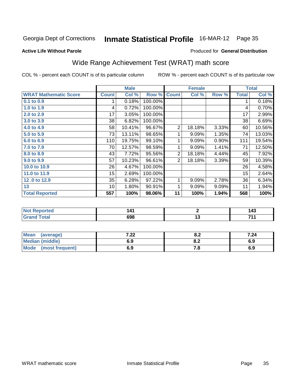**Active Life Without Parole** 

#### Produced for **General Distribution**

### Wide Range Achievement Test (WRAT) math score

|                              |              | <b>Male</b> |         | <b>Female</b>  |        |       | <b>Total</b> |        |
|------------------------------|--------------|-------------|---------|----------------|--------|-------|--------------|--------|
| <b>WRAT Mathematic Score</b> | <b>Count</b> | Col %       | Row %   | <b>Count</b>   | Col %  | Row % | <b>Total</b> | Col %  |
| 0.1 to 0.9                   | 1            | 0.18%       | 100.00% |                |        |       | 1            | 0.18%  |
| 1.0 to 1.9                   | 4            | 0.72%       | 100.00% |                |        |       | 4            | 0.70%  |
| 2.0 to 2.9                   | 17           | 3.05%       | 100.00% |                |        |       | 17           | 2.99%  |
| 3.0 to 3.9                   | 38           | 6.82%       | 100.00% |                |        |       | 38           | 6.69%  |
| 4.0 to 4.9                   | 58           | 10.41%      | 96.67%  | $\overline{2}$ | 18.18% | 3.33% | 60           | 10.56% |
| 5.0 to 5.9                   | 73           | 13.11%      | 98.65%  | 1              | 9.09%  | 1.35% | 74           | 13.03% |
| 6.0 to 6.9                   | 110          | 19.75%      | 99.10%  | 1              | 9.09%  | 0.90% | 111          | 19.54% |
| 7.0 to 7.9                   | 70           | 12.57%      | 98.59%  | 1              | 9.09%  | 1.41% | 71           | 12.50% |
| 8.0 to 8.9                   | 43           | 7.72%       | 95.56%  | $\overline{2}$ | 18.18% | 4.44% | 45           | 7.92%  |
| 9.0 to 9.9                   | 57           | 10.23%      | 96.61%  | $\overline{2}$ | 18.18% | 3.39% | 59           | 10.39% |
| 10.0 to 10.9                 | 26           | 4.67%       | 100.00% |                |        |       | 26           | 4.58%  |
| 11.0 to 11.9                 | 15           | 2.69%       | 100.00% |                |        |       | 15           | 2.64%  |
| 12.0 to 12.9                 | 35           | 6.28%       | 97.22%  | 1              | 9.09%  | 2.78% | 36           | 6.34%  |
| 13                           | 10           | 1.80%       | 90.91%  | 1              | 9.09%  | 9.09% | 11           | 1.94%  |
| <b>Total Reported</b>        | 557          | 100%        | 98.06%  | 11             | 100%   | 1.94% | 568          | 100%   |
|                              |              |             |         |                |        |       |              |        |
| <b>Not Reported</b>          |              | 141         |         | $\overline{2}$ |        | 143   |              |        |
| <b>Grand Total</b>           |              | 698         |         | 13             |        | 711   |              |        |
|                              |              |             |         |                |        |       |              |        |
| <b>Mean</b><br>(average)     |              | 7.22        |         | 8.2            |        |       | 7.24         |        |

| <b>Mean</b><br>(average) | י י<br>1.ZZ | 0.Z | 7.24 |
|--------------------------|-------------|-----|------|
| <b>Median (middle)</b>   | 6.9         | 0.Z | 6.9  |
| Mode (most frequent)     | 6.9         | . с | 6.9  |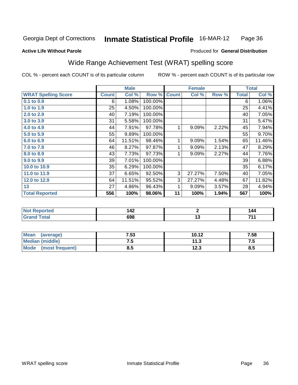#### **Active Life Without Parole**

#### Produced for **General Distribution**

### Wide Range Achievement Test (WRAT) spelling score

|                            |              | <b>Male</b> |         |              | <b>Female</b> |       | <b>Total</b> |        |  |
|----------------------------|--------------|-------------|---------|--------------|---------------|-------|--------------|--------|--|
| <b>WRAT Spelling Score</b> | <b>Count</b> | Col %       | Row %   | <b>Count</b> | Col %         | Row % | <b>Total</b> | Col %  |  |
| 0.1 to 0.9                 | 6            | 1.08%       | 100.00% |              |               |       | 6            | 1.06%  |  |
| 1.0 to 1.9                 | 25           | 4.50%       | 100.00% |              |               |       | 25           | 4.41%  |  |
| 2.0 to 2.9                 | 40           | 7.19%       | 100.00% |              |               |       | 40           | 7.05%  |  |
| 3.0 to 3.9                 | 31           | 5.58%       | 100.00% |              |               |       | 31           | 5.47%  |  |
| 4.0 to 4.9                 | 44           | 7.91%       | 97.78%  | 1            | 9.09%         | 2.22% | 45           | 7.94%  |  |
| 5.0 to 5.9                 | 55           | 9.89%       | 100.00% |              |               |       | 55           | 9.70%  |  |
| 6.0 to 6.9                 | 64           | 11.51%      | 98.46%  | 1            | 9.09%         | 1.54% | 65           | 11.46% |  |
| 7.0 to 7.9                 | 46           | 8.27%       | 97.87%  | 1            | 9.09%         | 2.13% | 47           | 8.29%  |  |
| 8.0 to 8.9                 | 43           | 7.73%       | 97.73%  | 1            | 9.09%         | 2.27% | 44           | 7.76%  |  |
| 9.0 to 9.9                 | 39           | 7.01%       | 100.00% |              |               |       | 39           | 6.88%  |  |
| 10.0 to 10.9               | 35           | 6.29%       | 100.00% |              |               |       | 35           | 6.17%  |  |
| 11.0 to 11.9               | 37           | 6.65%       | 92.50%  | 3            | 27.27%        | 7.50% | 40           | 7.05%  |  |
| 12.0 to 12.9               | 64           | 11.51%      | 95.52%  | 3            | 27.27%        | 4.48% | 67           | 11.82% |  |
| 13                         | 27           | 4.86%       | 96.43%  | 1            | 9.09%         | 3.57% | 28           | 4.94%  |  |
| <b>Total Reported</b>      | 556          | 100%        | 98.06%  | 11           | 100%          | 1.94% | 567          | 100%   |  |
|                            |              |             |         |              |               |       |              |        |  |
| <b>Not Reported</b>        |              | 142         |         | $\mathbf{2}$ |               |       | 144          |        |  |
| <b>Grand Total</b>         |              | 698         |         |              | 13            |       |              | 711    |  |
|                            |              |             |         |              |               |       |              |        |  |

| Mean (average)         | 7.53 | 10.12 | 7.58 |
|------------------------|------|-------|------|
| <b>Median (middle)</b> | ں ،  | 11.3  | w    |
| Mode (most frequent)   | 8.5  | 12.3  | 8.5  |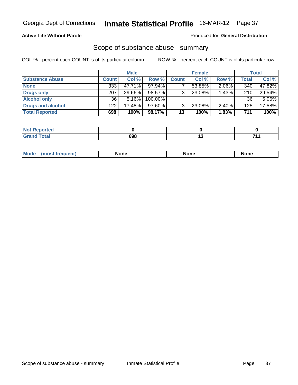## **Active Life Without Parole**

#### Produced for **General Distribution**

## Scope of substance abuse - summary

|                        |              | <b>Male</b> |            |              | <b>Female</b> |          |       | Total  |
|------------------------|--------------|-------------|------------|--------------|---------------|----------|-------|--------|
| <b>Substance Abuse</b> | <b>Count</b> | Col %       | Row %      | <b>Count</b> | Col %         | Row %    | Total | Col %  |
| <b>None</b>            | 333          | 47.71%      | $97.94\%$  |              | 53.85%        | $2.06\%$ | 340   | 47.82% |
| Drugs only             | 207          | 29.66%      | 98.57%     | ર            | 23.08%        | 1.43%    | 210   | 29.54% |
| <b>Alcohol only</b>    | 36           | $5.16\%$    | $100.00\%$ |              |               |          | 36    | 5.06%  |
| Drugs and alcohol      | 122          | 17.48%      | $97.60\%$  | ્ર           | 23.08%        | $2.40\%$ | 125   | 17.58% |
| <b>Total Reported</b>  | 698          | 100%        | 98.17%     | 13           | 100%          | 1.83%    | 711   | 100%   |

| <b>State Administration</b><br>Reported |     |   |
|-----------------------------------------|-----|---|
| <b>Total</b><br>_____                   | 698 | . |

| None<br><b>None</b><br><b>None</b> | Mod |  |  |  |
|------------------------------------|-----|--|--|--|
|------------------------------------|-----|--|--|--|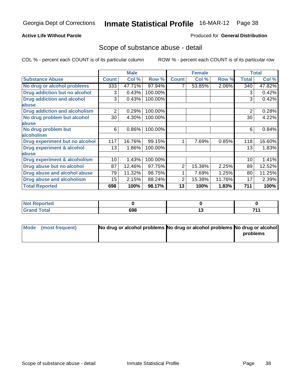## **Active Life Without Parole**

#### Produced for **General Distribution**

## Scope of substance abuse - detail

|                                      |              | <b>Male</b> |         |              | <b>Female</b> |        |                | <b>Total</b> |
|--------------------------------------|--------------|-------------|---------|--------------|---------------|--------|----------------|--------------|
| <b>Substance Abuse</b>               | <b>Count</b> | Col %       | Row %   | <b>Count</b> | Col %         | Row %  | <b>Total</b>   | Col %        |
| No drug or alcohol problems          | 333          | 47.71%      | 97.94%  |              | 53.85%        | 2.06%  | 340            | 47.82%       |
| Drug addiction but no alcohol        | 3            | 0.43%       | 100.00% |              |               |        | 3              | 0.42%        |
| <b>Drug addiction and alcohol</b>    | 3            | 0.43%       | 100.00% |              |               |        | 3              | 0.42%        |
| abuse                                |              |             |         |              |               |        |                |              |
| <b>Drug addiction and alcoholism</b> | 2            | 0.29%       | 100.00% |              |               |        | $\overline{2}$ | 0.28%        |
| No drug problem but alcohol          | 30           | 4.30%       | 100.00% |              |               |        | 30             | 4.22%        |
| abuse                                |              |             |         |              |               |        |                |              |
| No drug problem but                  | 6            | 0.86%       | 100.00% |              |               |        | 6              | 0.84%        |
| alcoholism                           |              |             |         |              |               |        |                |              |
| Drug experiment but no alcohol       | 117          | 16.76%      | 99.15%  | 1            | 7.69%         | 0.85%  | 118            | 16.60%       |
| <b>Drug experiment &amp; alcohol</b> | 13           | 1.86%       | 100.00% |              |               |        | 13             | 1.83%        |
| abuse                                |              |             |         |              |               |        |                |              |
| Drug experiment & alcoholism         | 10           | 1.43%       | 100.00% |              |               |        | 10             | 1.41%        |
| Drug abuse but no alcohol            | 87           | 12.46%      | 97.75%  | 2            | 15.38%        | 2.25%  | 89             | 12.52%       |
| Drug abuse and alcohol abuse         | 79           | 11.32%      | 98.75%  |              | 7.69%         | 1.25%  | 80             | 11.25%       |
| <b>Drug abuse and alcoholism</b>     | 15           | 2.15%       | 88.24%  | 2            | 15.38%        | 11.76% | 17             | 2.39%        |
| <b>Total Reported</b>                | 698          | 100%        | 98.17%  | 13           | 100%          | 1.83%  | 711            | 100%         |

| <b>Not Reported</b> |     |    |
|---------------------|-----|----|
| <b>Total</b>        | 698 | 74 |

| Mode (most frequent) | No drug or alcohol problems No drug or alcohol problems No drug or alcohol |          |
|----------------------|----------------------------------------------------------------------------|----------|
|                      |                                                                            | problems |
|                      |                                                                            |          |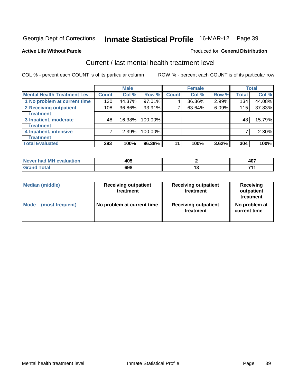#### **Active Life Without Parole**

### Produced for **General Distribution**

## Current / last mental health treatment level

|                                    |                    | <b>Male</b> |         |              | <b>Female</b> |       |              | <b>Total</b> |
|------------------------------------|--------------------|-------------|---------|--------------|---------------|-------|--------------|--------------|
| <b>Mental Health Treatment Lev</b> | Count <sup>1</sup> | Col %       | Row %   | <b>Count</b> | Col %         | Row % | <b>Total</b> | Col %        |
| 1 No problem at current time       | 130 <sub>1</sub>   | 44.37%      | 97.01%  | 4            | 36.36%        | 2.99% | 134          | 44.08%       |
| 2 Receiving outpatient             | 108                | 36.86%      | 93.91%  | 7            | 63.64%        | 6.09% | 115          | 37.83%       |
| treatment                          |                    |             |         |              |               |       |              |              |
| 3 Inpatient, moderate              | 48                 | 16.38%      | 100.00% |              |               |       | 48           | 15.79%       |
| treatment                          |                    |             |         |              |               |       |              |              |
| 4 Inpatient, intensive             | 7                  | 2.39%       | 100.00% |              |               |       | 7            | 2.30%        |
| treatment                          |                    |             |         |              |               |       |              |              |
| <b>Total Evaluated</b>             | 293                | 100%        | 96.38%  | 11           | 100%          | 3.62% | 304          | 100%         |

| Never had MH evaluation | 405 | דהו<br>tv. |
|-------------------------|-----|------------|
| $\tau$ otar             | 698 | 74         |

| <b>Median (middle)</b> | <b>Receiving outpatient</b><br>treatment | <b>Receiving outpatient</b><br>treatment | Receiving<br>outpatient<br>treatment |
|------------------------|------------------------------------------|------------------------------------------|--------------------------------------|
| <b>Mode</b>            | No problem at current time               | <b>Receiving outpatient</b>              | No problem at                        |
| (most frequent)        |                                          | treatment                                | current time                         |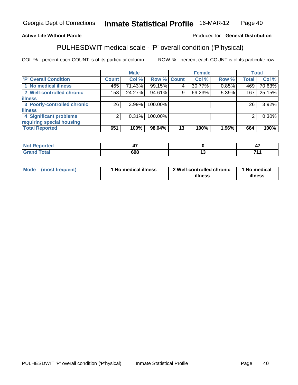#### **Active Life Without Parole**

#### Produced for **General Distribution**

## PULHESDWIT medical scale - 'P' overall condition ('P'hysical)

|                             |              | <b>Male</b> |             |    | <b>Female</b> |       |              | <b>Total</b> |
|-----------------------------|--------------|-------------|-------------|----|---------------|-------|--------------|--------------|
| <b>P' Overall Condition</b> | <b>Count</b> | Col %       | Row % Count |    | Col %         | Row % | <b>Total</b> | Col %        |
| 1 No medical illness        | 465          | 71.43%      | 99.15%      |    | 30.77%        | 0.85% | 469          | 70.63%       |
| 2 Well-controlled chronic   | 158          | 24.27%      | 94.61%      | 9  | 69.23%        | 5.39% | 167          | 25.15%       |
| <b>illness</b>              |              |             |             |    |               |       |              |              |
| 3 Poorly-controlled chronic | 26           | 3.99%       | 100.00%     |    |               |       | 26           | $3.92\%$     |
| <b>illness</b>              |              |             |             |    |               |       |              |              |
| 4 Significant problems      | 2            | 0.31%       | 100.00%     |    |               |       | 2            | $0.30\%$     |
| requiring special housing   |              |             |             |    |               |       |              |              |
| <b>Total Reported</b>       | 651          | 100%        | 98.04%      | 13 | 100%          | 1.96% | 664          | 100%         |

| <b>Not Reported</b> |     | --<br>◢    |
|---------------------|-----|------------|
| <b>cotal</b><br>Cro | 698 | <b>744</b> |

| Mode | (most frequent) | <sup>1</sup> No medical illness | 2 Well-controlled chronic | No medical |  |
|------|-----------------|---------------------------------|---------------------------|------------|--|
|      |                 |                                 | illness                   | illness    |  |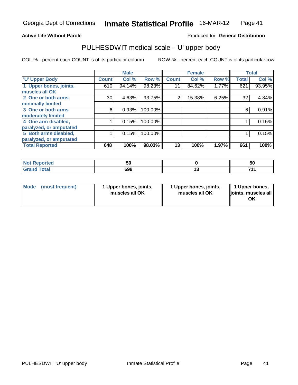#### **Active Life Without Parole**

Produced for **General Distribution**

## PULHESDWIT medical scale - 'U' upper body

|                         |              | <b>Male</b> |         |              | <b>Female</b> |       |              | <b>Total</b> |
|-------------------------|--------------|-------------|---------|--------------|---------------|-------|--------------|--------------|
| <b>U' Upper Body</b>    | <b>Count</b> | Col %       | Row %   | <b>Count</b> | Col %         | Row % | <b>Total</b> | Col %        |
| 1 Upper bones, joints,  | 610          | 94.14%      | 98.23%  | 11           | 84.62%        | 1.77% | 621          | 93.95%       |
| muscles all OK          |              |             |         |              |               |       |              |              |
| 2 One or both arms      | 30           | 4.63%       | 93.75%  | 2            | 15.38%        | 6.25% | 32           | 4.84%        |
| minimally limited       |              |             |         |              |               |       |              |              |
| 3 One or both arms      | 6            | 0.93%       | 100.00% |              |               |       | 6            | 0.91%        |
| moderately limited      |              |             |         |              |               |       |              |              |
| 4 One arm disabled,     |              | 0.15%       | 100.00% |              |               |       |              | 0.15%        |
| paralyzed, or amputated |              |             |         |              |               |       |              |              |
| 5 Both arms disabled,   |              | 0.15%       | 100.00% |              |               |       |              | 0.15%        |
| paralyzed, or amputated |              |             |         |              |               |       |              |              |
| <b>Total Reported</b>   | 648          | 100%        | 98.03%  | 13           | 100%          | 1.97% | 661          | 100%         |

| <b>Not Reported</b>          |     |        | วเ  |
|------------------------------|-----|--------|-----|
| <b>Total</b><br><b>Grand</b> | 698 | $\sim$ | 744 |

| ⊺Mode | (most frequent) | 1 Upper bones, joints,<br>muscles all OK | 1 Upper bones, joints,<br>muscles all OK | 1 Upper bones,<br>joints, muscles all<br>ΟK |
|-------|-----------------|------------------------------------------|------------------------------------------|---------------------------------------------|
|-------|-----------------|------------------------------------------|------------------------------------------|---------------------------------------------|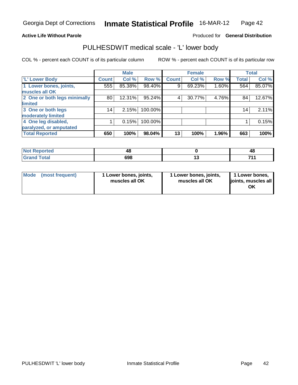#### **Active Life Without Parole**

#### Produced for **General Distribution**

## PULHESDWIT medical scale - 'L' lower body

|                              |              | <b>Male</b> |         |              | <b>Female</b> |       |              | <b>Total</b> |
|------------------------------|--------------|-------------|---------|--------------|---------------|-------|--------------|--------------|
| <b>L' Lower Body</b>         | <b>Count</b> | Col %       | Row %   | <b>Count</b> | Col %         | Row % | <b>Total</b> | Col %        |
| 1 Lower bones, joints,       | 555          | 85.38%      | 98.40%  | 9            | 69.23%        | 1.60% | 564          | 85.07%       |
| muscles all OK               |              |             |         |              |               |       |              |              |
| 2 One or both legs minimally | 80           | 12.31%      | 95.24%  | 4            | 30.77%        | 4.76% | 84           | 12.67%       |
| limited                      |              |             |         |              |               |       |              |              |
| 3 One or both legs           | 14           | 2.15%       | 100.00% |              |               |       | 14           | 2.11%        |
| moderately limited           |              |             |         |              |               |       |              |              |
| 4 One leg disabled,          |              | 0.15%       | 100.00% |              |               |       |              | 0.15%        |
| paralyzed, or amputated      |              |             |         |              |               |       |              |              |
| <b>Total Reported</b>        | 650          | 100%        | 98.04%  | 13           | 100%          | 1.96% | 663          | 100%         |

| ortea<br>NOT<br>.                       | ᠇៶  |     | 4Ł  |
|-----------------------------------------|-----|-----|-----|
| <b>Total</b><br>Gr:<br>$\mathbf{v}$ and | 698 | . J | - - |

| Mode (most frequent) | 1 Lower bones, joints,<br>muscles all OK | 1 Lower bones, joints,<br>muscles all OK | 1 Lower bones,<br>ljoints, muscles all<br>ΟK |
|----------------------|------------------------------------------|------------------------------------------|----------------------------------------------|
|----------------------|------------------------------------------|------------------------------------------|----------------------------------------------|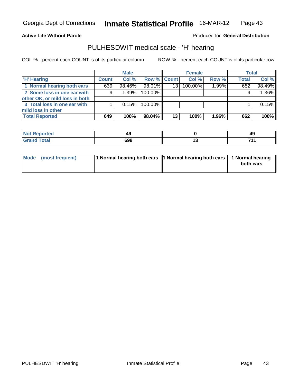#### **Active Life Without Parole**

Produced for **General Distribution**

## PULHESDWIT medical scale - 'H' hearing

|                                |              | <b>Male</b> |                    |                 | <b>Female</b> |       | <b>Total</b> |        |
|--------------------------------|--------------|-------------|--------------------|-----------------|---------------|-------|--------------|--------|
| <b>H' Hearing</b>              | <b>Count</b> | Col %       | <b>Row % Count</b> |                 | Col %         | Row % | <b>Total</b> | Col %  |
| 1 Normal hearing both ears     | 639          | 98.46%      | 98.01%             | 13 <sup>1</sup> | 100.00%       | 1.99% | 652          | 98.49% |
| 2 Some loss in one ear with    | 9            | 1.39%       | 100.00%            |                 |               |       | 9            | 1.36%  |
| other OK, or mild loss in both |              |             |                    |                 |               |       |              |        |
| 3 Total loss in one ear with   |              | 0.15%       | 100.00%            |                 |               |       |              | 0.15%  |
| mild loss in other             |              |             |                    |                 |               |       |              |        |
| <b>Total Reported</b>          | 649          | 100%        | 98.04%             | 13              | 100%          | 1.96% | 662          | 100%   |

| Reported<br><b>NOT</b>    |            | 49   |
|---------------------------|------------|------|
| <b>Total</b><br>ا الله ال | ---<br>$-$ | 74 A |

| Mode (most frequent) | 1 Normal hearing both ears 1 Normal hearing both ears 1 Normal hearing |           |
|----------------------|------------------------------------------------------------------------|-----------|
|                      |                                                                        | both ears |
|                      |                                                                        |           |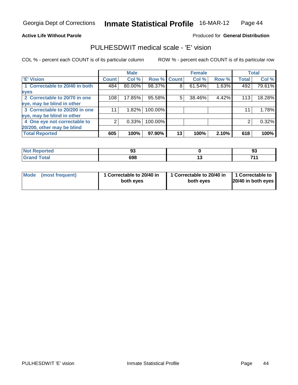#### **Active Life Without Parole**

#### Produced for **General Distribution**

## PULHESDWIT medical scale - 'E' vision

|                                |              | <b>Male</b> |             |    | <b>Female</b> |       |              | <b>Total</b> |
|--------------------------------|--------------|-------------|-------------|----|---------------|-------|--------------|--------------|
| <b>E' Vision</b>               | <b>Count</b> | Col %       | Row % Count |    | Col %         | Row % | <b>Total</b> | Col %        |
| 1 Correctable to 20/40 in both | 484          | 80.00%      | 98.37%      | 8  | 61.54%        | 1.63% | 492          | 79.61%       |
| eyes                           |              |             |             |    |               |       |              |              |
| 2 Correctable to 20/70 in one  | 108          | 17.85%      | 95.58%      | 5  | 38.46%        | 4.42% | 113          | 18.28%       |
| eye, may be blind in other     |              |             |             |    |               |       |              |              |
| 3 Correctable to 20/200 in one |              | 1.82%       | 100.00%     |    |               |       | 11           | 1.78%        |
| eye, may be blind in other     |              |             |             |    |               |       |              |              |
| 4 One eye not correctable to   | ⌒            | 0.33%       | 100.00%     |    |               |       | 2            | 0.32%        |
| 20/200, other may be blind     |              |             |             |    |               |       |              |              |
| <b>Total Reported</b>          | 605          | 100%        | 97.90%      | 13 | 100%          | 2.10% | 618          | 100%         |

| <b>Not Reported</b> | ~<br><br>ึง | n.<br>ึ |
|---------------------|-------------|---------|
| <b>cotal</b>        | 698         | <br>74. |

| Mode (most frequent) |  | 1 Correctable to 20/40 in<br>both eyes | 1 Correctable to 20/40 in<br>both eves | 1 Correctable to<br>20/40 in both eyes |
|----------------------|--|----------------------------------------|----------------------------------------|----------------------------------------|
|----------------------|--|----------------------------------------|----------------------------------------|----------------------------------------|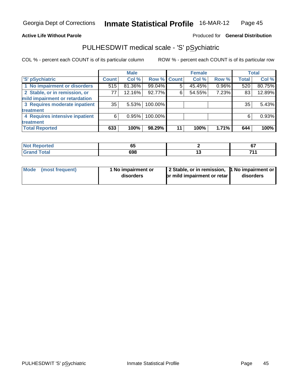#### **Active Life Without Parole**

Produced for **General Distribution**

## PULHESDWIT medical scale - 'S' pSychiatric

|                                |              | <b>Male</b> |             |    | <b>Female</b> |       |              | Total  |
|--------------------------------|--------------|-------------|-------------|----|---------------|-------|--------------|--------|
| 'S' pSychiatric                | <b>Count</b> | Col %       | Row % Count |    | Col %         | Row % | <b>Total</b> | Col %  |
| 1 No impairment or disorders   | 515          | 81.36%      | 99.04%      | 5  | 45.45%        | 0.96% | 520          | 80.75% |
| 2 Stable, or in remission, or  | 77           | 12.16%      | 92.77%      | 6  | 54.55%        | 7.23% | 83           | 12.89% |
| mild impairment or retardation |              |             |             |    |               |       |              |        |
| 3 Requires moderate inpatient  | 35           | 5.53%       | 100.00%     |    |               |       | 35           | 5.43%  |
| treatment                      |              |             |             |    |               |       |              |        |
| 4 Requires intensive inpatient | 6            | 0.95%       | 100.00%     |    |               |       | 6            | 0.93%  |
| treatment                      |              |             |             |    |               |       |              |        |
| <b>Total Reported</b>          | 633          | 100%        | 98.29%      | 11 | 100%          | 1.71% | 644          | 100%   |

| <b>Not Reported</b> | ^'<br>vJ | $\sim$<br>v, |
|---------------------|----------|--------------|
| <b>Grand Total</b>  | 698      | 74.          |

| Mode | (most frequent) | 1 No impairment or<br>disorders | 2 Stable, or in remission,   No impairment or<br><b>br</b> mild impairment or retar | disorders |
|------|-----------------|---------------------------------|-------------------------------------------------------------------------------------|-----------|
|------|-----------------|---------------------------------|-------------------------------------------------------------------------------------|-----------|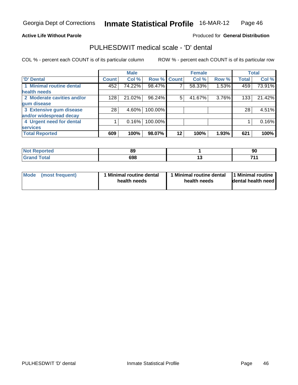#### **Active Life Without Parole**

#### Produced for **General Distribution**

## PULHESDWIT medical scale - 'D' dental

|                                             |              | <b>Male</b> |             |    | <b>Female</b> |       |              | <b>Total</b> |
|---------------------------------------------|--------------|-------------|-------------|----|---------------|-------|--------------|--------------|
| <b>D'</b> Dental                            | <b>Count</b> | Col %       | Row % Count |    | Col %         | Row % | <b>Total</b> | Col %        |
| 1 Minimal routine dental<br>health needs    | 452          | 74.22%      | 98.47%      |    | 58.33%        | 1.53% | 459          | 73.91%       |
| 2 Moderate cavities and/or<br>gum disease   | 128          | 21.02%      | 96.24%      | 5  | 41.67%        | 3.76% | 133          | 21.42%       |
| 3 Extensive gum disease                     | 28           | 4.60%       | 100.00%     |    |               |       | 28           | 4.51%        |
| and/or widespread decay                     |              |             |             |    |               |       |              |              |
| 4 Urgent need for dental<br><b>services</b> |              | 0.16%       | 100.00%     |    |               |       |              | 0.16%        |
| <b>Total Reported</b>                       | 609          | 100%        | 98.07%      | 12 | 100%          | 1.93% | 621          | 100%         |

| <b>Not Reported</b> | 89  | 90      |
|---------------------|-----|---------|
| <b>cotal</b>        | 698 | <br>- 4 |

| Mode (most frequent) | 1 Minimal routine dental | 1 Minimal routine dental | 1 Minimal routine  |
|----------------------|--------------------------|--------------------------|--------------------|
|                      | health needs             | health needs             | dental health need |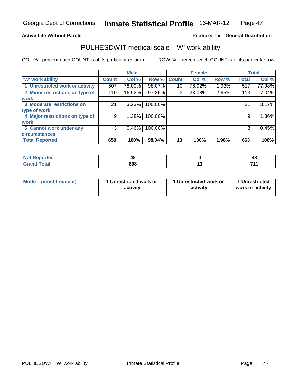#### **Active Life Without Parole**

#### Produced for **General Distribution**

## PULHESDWIT medical scale - 'W' work ability

|                                 |              | <b>Male</b> |             |    | <b>Female</b> |       |              | <b>Total</b> |
|---------------------------------|--------------|-------------|-------------|----|---------------|-------|--------------|--------------|
| 'W' work ability                | <b>Count</b> | Col %       | Row % Count |    | Col %         | Row % | <b>Total</b> | Col %        |
| 1 Unrestricted work or activity | 507          | 78.00%      | 98.07%      | 10 | 76.92%        | 1.93% | 517          | 77.98%       |
| 2 Minor restrictions on type of | 110          | 16.92%      | 97.35%      | 3  | 23.08%        | 2.65% | 113          | 17.04%       |
| <b>work</b>                     |              |             |             |    |               |       |              |              |
| 3 Moderate restrictions on      | 21           | 3.23%       | 100.00%     |    |               |       | 21           | 3.17%        |
| type of work                    |              |             |             |    |               |       |              |              |
| 4 Major restrictions on type of | 9            | 1.38%       | 100.00%     |    |               |       | 9            | 1.36%        |
| <b>work</b>                     |              |             |             |    |               |       |              |              |
| 5 Cannot work under any         | 3            | 0.46%       | 100.00%     |    |               |       | 3            | 0.45%        |
| <b>circumstances</b>            |              |             |             |    |               |       |              |              |
| <b>Total Reported</b>           | 650          | 100%        | 98.04%      | 13 | 100%          | 1.96% | 663          | 100%         |

| orted                     | ᠇៶  |    | 48  |
|---------------------------|-----|----|-----|
| `otal<br>$\mathbf{v}$ and | 698 | יי | 744 |

|  | Mode (most frequent) | 1 Unrestricted work or<br>activity | 1 Unrestricted work or<br>activity | 1 Unrestricted<br>work or activity |
|--|----------------------|------------------------------------|------------------------------------|------------------------------------|
|--|----------------------|------------------------------------|------------------------------------|------------------------------------|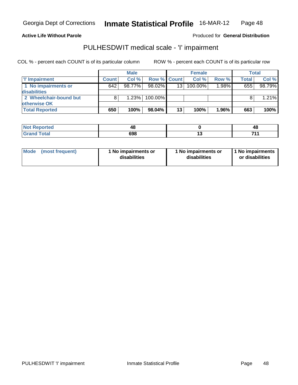#### **Active Life Without Parole**

#### Produced for **General Distribution**

## PULHESDWIT medical scale - 'I' impairment

|                        |              | <b>Male</b> |                    |    | <b>Female</b> |       |              | <b>Total</b> |
|------------------------|--------------|-------------|--------------------|----|---------------|-------|--------------|--------------|
| I' Impairment          | <b>Count</b> | Col %       | <b>Row % Count</b> |    | Col%          | Row % | <b>Total</b> | Col%         |
| 1 No impairments or    | 642          | 98.77%      | $98.02\%$          | 13 | 100.00%       | 1.98% | 655          | 98.79%       |
| disabilities           |              |             |                    |    |               |       |              |              |
| 2 Wheelchair-bound but |              | 1.23%       | 100.00%            |    |               |       |              | 1.21%        |
| <b>lotherwise OK</b>   |              |             |                    |    |               |       |              |              |
| <b>Total Reported</b>  | 650          | 100%        | 98.04%             | 13 | 100%          | 1.96% | 663          | 100%         |

| <b>Not</b><br>orted | ω<br>∼⊤ | TV  |
|---------------------|---------|-----|
| <b>otal</b>         | 698     | 744 |

| <b>Mode</b> | (most frequent) | 1 No impairments or<br>disabilities | 1 No impairments or<br>disabilities | 1 No impairments<br>or disabilities |
|-------------|-----------------|-------------------------------------|-------------------------------------|-------------------------------------|
|-------------|-----------------|-------------------------------------|-------------------------------------|-------------------------------------|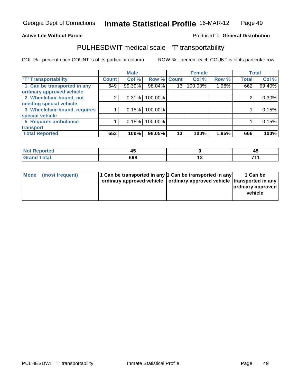#### **Inmate Statistical Profile** 16-MAR-12 Page Page 49

#### **Active Life Without Parole Produced fo Seneral Distribution**

## PULHESDWIT medical scale - 'T' transportability

|                              |                    | <b>Male</b> |                    |    | <b>Female</b> |       |              | <b>Total</b> |
|------------------------------|--------------------|-------------|--------------------|----|---------------|-------|--------------|--------------|
| <b>TT</b> Transportability   | Count <sup>1</sup> | Col %       | <b>Row % Count</b> |    | Col %         | Row % | <b>Total</b> | Col %        |
| 1 Can be transported in any  | 649                | 99.39%      | 98.04%             | 13 | 100.00%       | 1.96% | 662          | 99.40%       |
| ordinary approved vehicle    |                    |             |                    |    |               |       |              |              |
| 2 Wheelchair-bound, not      |                    | 0.31%       | 100.00%            |    |               |       | ົ            | $0.30\%$     |
| needing special vehicle      |                    |             |                    |    |               |       |              |              |
| 3 Wheelchair-bound, requires |                    | 0.15%       | 100.00%            |    |               |       |              | 0.15%        |
| special vehicle              |                    |             |                    |    |               |       |              |              |
| 5 Requires ambulance         |                    | 0.15%       | 100.00%            |    |               |       |              | 0.15%        |
| transport                    |                    |             |                    |    |               |       |              |              |
| <b>Total Reported</b>        | 653                | 100%        | 98.05%             | 13 | 100%          | 1.95% | 666          | 100%         |

| <b>Reported</b>              | . .<br>45 |     | 43   |
|------------------------------|-----------|-----|------|
| <b>Total</b><br><b>Grand</b> | 698       | . . | 74 A |

| Mode (most frequent) | 1 Can be transported in any 1 Can be transported in any<br>ordinary approved vehicle   ordinary approved vehicle   transported in any | 1 Can be<br><b>ordinary approved</b><br>vehicle |
|----------------------|---------------------------------------------------------------------------------------------------------------------------------------|-------------------------------------------------|
|----------------------|---------------------------------------------------------------------------------------------------------------------------------------|-------------------------------------------------|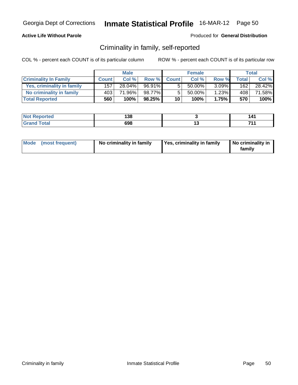## **Active Life Without Parole**

#### Produced for **General Distribution**

## Criminality in family, self-reported

|                              |              | <b>Male</b> |        |              | <b>Female</b> |          |                    | Total  |
|------------------------------|--------------|-------------|--------|--------------|---------------|----------|--------------------|--------|
| <b>Criminality In Family</b> | <b>Count</b> | Col %       | Row %  | <b>Count</b> | Col %         | Row %    | Total <sub>1</sub> | Col %  |
| Yes, criminality in family   | 157          | 28.04%      | 96.91% | 5            | 50.00%        | $3.09\%$ | 162                | 28.42% |
| No criminality in family     | 403          | 71.96%      | 98.77% | 5            | 50.00%        | 1.23%    | $408^+$            | 71.58% |
| <b>Total Reported</b>        | 560          | 100%        | 98.25% | 10           | 100%          | 1.75%    | 570                | 100%   |

| ted           | 138 |               | . л- |
|---------------|-----|---------------|------|
| <u>i</u> vlai | 698 | . J<br>$\sim$ | 74   |

|  | Mode (most frequent) | No criminality in family | Yes, criminality in family | No criminality in<br>familv |
|--|----------------------|--------------------------|----------------------------|-----------------------------|
|--|----------------------|--------------------------|----------------------------|-----------------------------|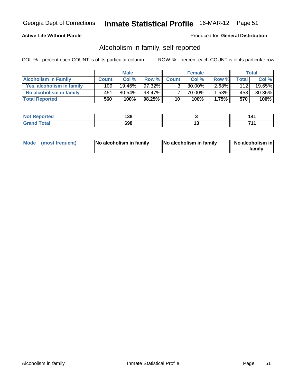## **Active Life Without Parole**

#### Produced for **General Distribution**

## Alcoholism in family, self-reported

|                             |              | <b>Male</b> |           |                | <b>Female</b> |       |         | Total  |
|-----------------------------|--------------|-------------|-----------|----------------|---------------|-------|---------|--------|
| <b>Alcoholism In Family</b> | <b>Count</b> | Col %       | Row %     | <b>Count</b>   | Col %         | Row % | Total i | Col %  |
| Yes, alcoholism in family   | 109          | $19.46\%$   | $97.32\%$ | 3 <sub>1</sub> | 30.00%        | 2.68% | 112     | 19.65% |
| No alcoholism in family     | 451          | $80.54\%$   | 98.47%    |                | 70.00%        | 1.53% | 458     | 80.35% |
| <b>Total Reported</b>       | 560          | 100%        | 98.25%    | 10             | 100%          | 1.75% | 570     | 100%   |

| <b>Not</b><br>Reported                         | 138 |          |
|------------------------------------------------|-----|----------|
| <b>Total</b><br><b>Gra</b><br><b>UI 41 I 4</b> | 698 | - -<br>. |

|  | Mode (most frequent) | <b>No alcoholism in family</b> | <b>No alcoholism in family</b> | No alcoholism in<br>familv |
|--|----------------------|--------------------------------|--------------------------------|----------------------------|
|--|----------------------|--------------------------------|--------------------------------|----------------------------|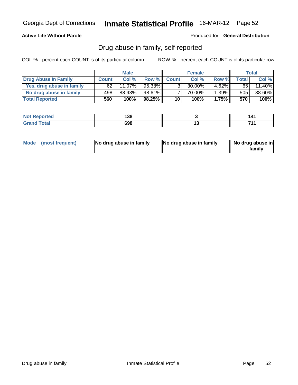## **Active Life Without Parole**

Produced for **General Distribution**

## Drug abuse in family, self-reported

|                           |              | <b>Male</b> |        |              | <b>Female</b> |          |       | Total  |
|---------------------------|--------------|-------------|--------|--------------|---------------|----------|-------|--------|
| Drug Abuse In Family      | <b>Count</b> | Col %       | Row %  | <b>Count</b> | Col %         | Row %    | Total | Col %  |
| Yes, drug abuse in family | 62           | 11.07%      | 95.38% | 3            | $30.00\%$     | $4.62\%$ | 65 l  | 11.40% |
| No drug abuse in family   | 498          | 88.93%      | 98.61% |              | 70.00%        | 1.39%    | 505   | 88.60% |
| <b>Total Reported</b>     | 560          | 100%        | 98.25% | 10           | 100%          | 1.75%    | 570   | 100%   |

| <b>Not</b><br><b>Reported</b>        | 138 |     |
|--------------------------------------|-----|-----|
| <b>Total</b><br><b>Gran</b><br>----- | 698 | 74. |

|  | Mode (most frequent) | No drug abuse in family | No drug abuse in family | No drug abuse in<br>familv |
|--|----------------------|-------------------------|-------------------------|----------------------------|
|--|----------------------|-------------------------|-------------------------|----------------------------|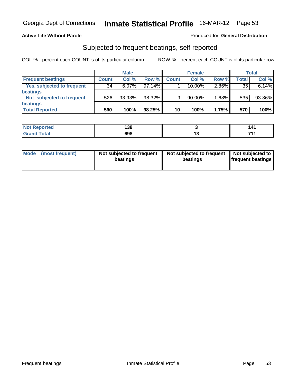### **Active Life Without Parole**

#### Produced for **General Distribution**

## Subjected to frequent beatings, self-reported

|                            |              | <b>Male</b> |           |              | <b>Female</b> |       |                    | <b>Total</b> |
|----------------------------|--------------|-------------|-----------|--------------|---------------|-------|--------------------|--------------|
| <b>Frequent beatings</b>   | <b>Count</b> | Col%        | Row %     | <b>Count</b> | Col%          | Row % | Total <sub>1</sub> | Col %        |
| Yes, subjected to frequent | 34           | $6.07\%$    | $97.14\%$ |              | $10.00\%$     | 2.86% | 35                 | 6.14%        |
| beatings                   |              |             |           |              |               |       |                    |              |
| Not subjected to frequent  | 526          | 93.93%      | 98.32%    | 9            | 90.00%        | 1.68% | 535                | 93.86%       |
| beatings                   |              |             |           |              |               |       |                    |              |
| <b>Total Reported</b>      | 560          | 100%        | 98.25%    | 10           | 100%          | 1.75% | 570                | 100%         |

| <b>Not Reported</b> | 138 |     | 141 |
|---------------------|-----|-----|-----|
| <b>Grand Total</b>  | 698 | . v | 744 |

| Mode (most frequent) | Not subjected to frequent | Not subjected to frequent | Not subjected to         |
|----------------------|---------------------------|---------------------------|--------------------------|
|                      | beatings                  | beatings                  | <b>frequent beatings</b> |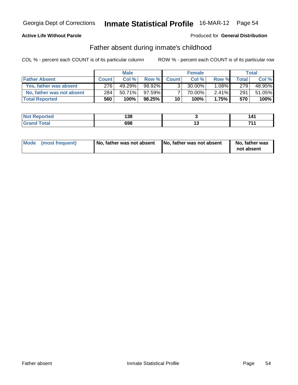## **Active Life Without Parole**

#### Produced for **General Distribution**

## Father absent during inmate's childhood

|                           |              | <b>Male</b> |           |                | <b>Female</b> |          |       | Total  |
|---------------------------|--------------|-------------|-----------|----------------|---------------|----------|-------|--------|
| <b>Father Absent</b>      | <b>Count</b> | Col %       | Row %     | <b>Count</b>   | Col %         | Row %    | Total | Col %  |
| Yes, father was absent    | 276          | 49.29%      | 98.92%    | 3 <sub>1</sub> | 30.00%        | $1.08\%$ | 279   | 48.95% |
| No, father was not absent | 284          | $50.71\%$   | $97.59\%$ |                | 70.00%        | $2.41\%$ | 291   | 51.05% |
| <b>Total Reported</b>     | 560          | 100%        | 98.25%    | 10             | 100%          | 1.75%    | 570   | 100%l  |

| .                   | 400<br>1 J V<br>$ -$ |        | $\cdots$ |
|---------------------|----------------------|--------|----------|
| $-1$ $-1$ $-1$<br>- | cna<br>ספס           | $\sim$ | .        |

| Mode (most frequent)<br>No, father was not absent | No, father was not absent | No, father was<br>not absent |
|---------------------------------------------------|---------------------------|------------------------------|
|---------------------------------------------------|---------------------------|------------------------------|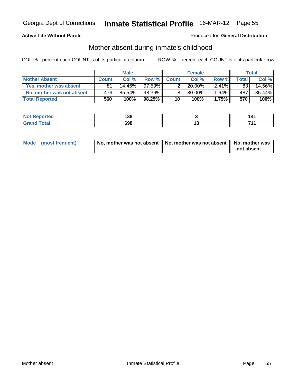### **Active Life Without Parole**

#### Produced for **General Distribution**

# Mother absent during inmate's childhood

|                           |              | <b>Male</b> |           |                | Female    |          |                | Total  |
|---------------------------|--------------|-------------|-----------|----------------|-----------|----------|----------------|--------|
| <b>Mother Absent</b>      | <b>Count</b> | Col %       | Row %     | <b>Count</b>   | Col %     | Row %    | <b>Total</b> I | Col %  |
| Yes, mother was absent    | 81           | $14.46\%$   | $97.59\%$ | 2 <sub>1</sub> | $20.00\%$ | $2.41\%$ | 83             | 14.56% |
| No, mother was not absent | 479          | $85.54\%$   | 98.36%    | 8 <sub>1</sub> | 80.00%    | $1.64\%$ | 487            | 85.44% |
| <b>Total Reported</b>     | 560          | $100\%$     | 98.25%    | 10             | 100%      | 1.75%    | 570            | 100%   |

| ted           | 138 |               | . л- |
|---------------|-----|---------------|------|
| <u>i</u> vlai | 698 | . J<br>$\sim$ | 74   |

| Mode (most frequent) | No, mother was not absent $\vert$ No, mother was not absent $\vert$ No, mother was |            |
|----------------------|------------------------------------------------------------------------------------|------------|
|                      |                                                                                    | not absent |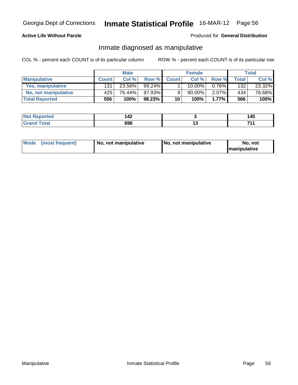## **Active Life Without Parole**

#### Produced for **General Distribution**

# Inmate diagnosed as manipulative

|                          |              | <b>Male</b> |        |              | <b>Female</b> |          |       | Total  |
|--------------------------|--------------|-------------|--------|--------------|---------------|----------|-------|--------|
| <b>Manipulative</b>      | <b>Count</b> | Col %       | Row %  | <b>Count</b> | Col%          | Row %    | Total | Col %  |
| <b>Yes, manipulative</b> | 131          | 23.56%      | 99.24% |              | 10.00%        | $0.76\%$ | 132   | 23.32% |
| No, not manipulative     | 425          | 76.44%      | 97.93% | 9            | 90.00%        | $2.07\%$ | 434   | 76.68% |
| <b>Total Reported</b>    | 556          | 100%        | 98.23% | 10           | 100%          | 1.77%    | 566   | 100%   |

| <b>Not</b><br><b>rted</b>          | $\overline{ }$<br>14Z | 14F<br>טרו |
|------------------------------------|-----------------------|------------|
| <b>cotal</b><br>Gra<br>$\sim$ nur. | 698                   | 744<br>.   |

| Mode (most frequent) | ' No, not manipulative | <b>No. not manipulative</b> | No. not              |
|----------------------|------------------------|-----------------------------|----------------------|
|                      |                        |                             | <b>Imanipulative</b> |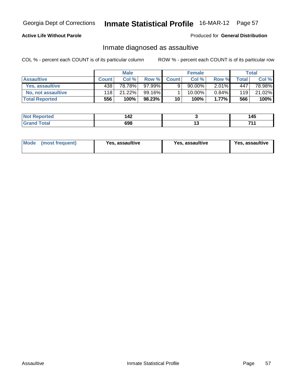## **Active Life Without Parole**

#### Produced for **General Distribution**

## Inmate diagnosed as assaultive

|                        |              | <b>Male</b> |              |              | <b>Female</b> |          |              | Total  |
|------------------------|--------------|-------------|--------------|--------------|---------------|----------|--------------|--------|
| <b>Assaultive</b>      | <b>Count</b> | Col%        | <b>Row %</b> | <b>Count</b> | Col %         | Row %    | <b>Total</b> | Col %  |
| <b>Yes. assaultive</b> | 438          | 78.78%      | $97.99\%$    | 9            | 90.00%        | $2.01\%$ | 4471         | 78.98% |
| No, not assaultive     | 118          | 21.22%      | 99.16%       |              | 10.00%        | $0.84\%$ | 119          | 21.02% |
| <b>Total Reported</b>  | 556          | 100%        | 98.23%       | 10           | 100%          | 1.77%    | 566          | 100%   |

| ported     | $\overline{ }$ |               | 115     |
|------------|----------------|---------------|---------|
| <b>NOT</b> | 142            |               | −~      |
| _____      | 698            | ' J<br>$\sim$ | 74<br>. |

| Mode<br><b>Yes, assaultive</b><br>(most frequent) | Yes, assaultive | Yes, assaultive |
|---------------------------------------------------|-----------------|-----------------|
|---------------------------------------------------|-----------------|-----------------|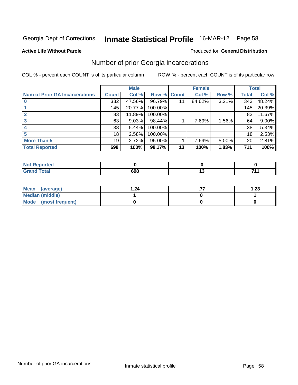#### **Active Life Without Parole**

## Produced for **General Distribution**

# Number of prior Georgia incarcerations

|                                       |              | <b>Male</b> |           |              | <b>Female</b> |       |       | <b>Total</b> |
|---------------------------------------|--------------|-------------|-----------|--------------|---------------|-------|-------|--------------|
| <b>Num of Prior GA Incarcerations</b> | <b>Count</b> | Col %       | Row %     | <b>Count</b> | Col %         | Row % | Total | Col %        |
|                                       | 332          | 47.56%      | 96.79%    | 11           | 84.62%        | 3.21% | 343   | 48.24%       |
|                                       | 145          | 20.77%      | 100.00%   |              |               |       | 145   | 20.39%       |
|                                       | 83           | 11.89%      | 100.00%   |              |               |       | 83    | 11.67%       |
|                                       | 63           | 9.03%       | 98.44%    |              | 7.69%         | 1.56% | 64    | $9.00\%$     |
|                                       | 38           | 5.44%       | 100.00%   |              |               |       | 38    | 5.34%        |
|                                       | 18           | 2.58%       | 100.00%   |              |               |       | 18    | 2.53%        |
| <b>More Than 5</b>                    | 19           | 2.72%       | $95.00\%$ |              | 7.69%         | 5.00% | 20    | 2.81%        |
| <b>Total Reported</b>                 | 698          | 100%        | 98.17%    | 13           | 100%          | 1.83% | 711   | 100%         |

| $\mathbf{w}$ |             |        |     |
|--------------|-------------|--------|-----|
| $-4-$        | סט<br>$  -$ | $\sim$ | 744 |

| Mean (average)       | $\overline{24}$ | 1.23 |
|----------------------|-----------------|------|
| Median (middle)      |                 |      |
| Mode (most frequent) |                 |      |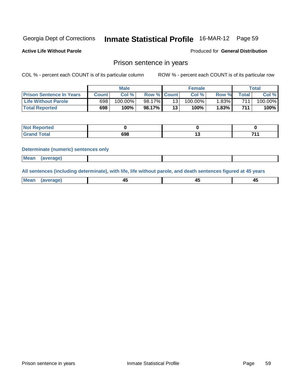**Active Life Without Parole** 

Produced for **General Distribution**

# Prison sentence in years

COL % - percent each COUNT is of its particular column ROW % - percent each COUNT is of its particular row

|                                 | <b>Male</b> |            |             | <b>Female</b> |            |       | Total            |         |
|---------------------------------|-------------|------------|-------------|---------------|------------|-------|------------------|---------|
| <b>Prison Sentence In Years</b> | Count⊺      | Col %      | Row % Count |               | Col%       | Row % | <b>Total</b>     | Col %   |
| <b>Life Without Parole</b>      | 698         | $100.00\%$ | 98.17%      | 13            | $100.00\%$ | 1.83% | 7111             | 100.00% |
| <b>Total Reported</b>           | 698         | $100\%$    | 98.17%      | 13            | 100%       | 1.83% | 711 <sub>1</sub> | 100%    |

| <b>rtea</b>              |     |     |
|--------------------------|-----|-----|
| <b>Total</b><br>$\sim$ . | 698 | 744 |

#### **Determinate (numeric) sentences only**

| <b>Mean</b> | (average) |  |  |
|-------------|-----------|--|--|
|             |           |  |  |

**All sentences (including determinate), with life, life without parole, and death sentences figured at 45 years**

| Me.<br>.<br>------ | $\sim$ | $\sim$ | $\sim$ |
|--------------------|--------|--------|--------|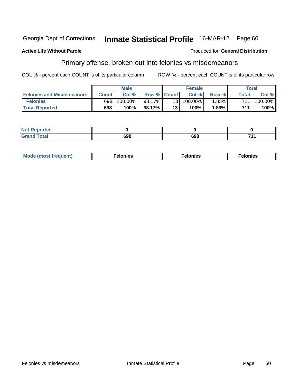#### **Active Life Without Parole**

#### Produced for **General Distribution**

## Primary offense, broken out into felonies vs misdemeanors

|                                  | <b>Male</b>  |         |                    | <b>Female</b> |         |          | Total |            |
|----------------------------------|--------------|---------|--------------------|---------------|---------|----------|-------|------------|
| <b>Felonies and Misdemeanors</b> | <b>Count</b> | Col%    | <b>Row % Count</b> |               | Col%    | Row %    | Total | Col%       |
| <b>Felonies</b>                  | 698          | 100.00% | 98.17%             | 131           | 100.00% | $1.83\%$ | 7111  | $100.00\%$ |
| <b>Total Reported</b>            | 698          | 100%    | 98.17%             | 13            | $100\%$ | 1.83%    | 711   | 100%       |

| <b>Not</b><br><b>Reported</b> |            |     |     |
|-------------------------------|------------|-----|-----|
| <b>r</b> otal<br>Grand        | <b>000</b> | 698 | 744 |

| <b>Mo</b> | onies | יבונ | nıes |
|-----------|-------|------|------|
| ll lenti  | .     | .    | .    |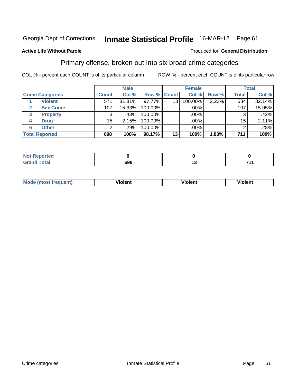#### **Active Life Without Parole**

#### Produced for **General Distribution**

## Primary offense, broken out into six broad crime categories

|                         |              | <b>Male</b> |                    |    | <b>Female</b> |       |              | <b>Total</b> |
|-------------------------|--------------|-------------|--------------------|----|---------------|-------|--------------|--------------|
| <b>Crime Categories</b> | <b>Count</b> | Col %       | <b>Row % Count</b> |    | Col %         | Row % | <b>Total</b> | Col %        |
| <b>Violent</b>          | 571          | 81.81%      | $97.77\%$          | 13 | 100.00%       | 2.23% | 584          | 82.14%       |
| <b>Sex Crime</b>        | 107          | 15.33%      | 100.00%            |    | $.00\%$       |       | 107          | 15.05%       |
| 3<br><b>Property</b>    | 3            | .43%        | 100.00%            |    | .00%          |       |              | .42%         |
| <b>Drug</b><br>4        | 15           | 2.15%       | 100.00%            |    | .00%          |       | 15           | 2.11%        |
| <b>Other</b><br>6       | 2            | .29%        | 100.00%            |    | $.00\%$       |       | 2            | .28%         |
| <b>Total Reported</b>   | 698          | 100%        | 98.17%             | 13 | 100%          | 1.83% | 711          | 100%         |

| Reported<br>NO<br>$\cdots$                             |     |    |            |
|--------------------------------------------------------|-----|----|------------|
| <b>Total</b><br>. Gra <sup>r</sup><br>$\mathbf{v}$ and | 698 | יי | - -<br>- - |

| M <sub>c</sub><br>ann | . .<br>inlent | ∴nen.<br>ш | ۵n |
|-----------------------|---------------|------------|----|
|                       |               |            |    |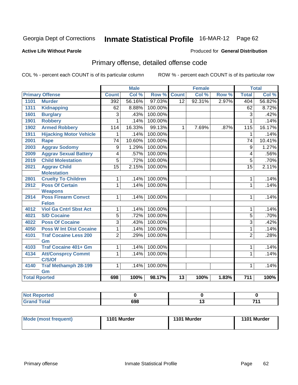#### **Active Life Without Parole**

#### Produced for **General Distribution**

# Primary offense, detailed offense code

|                      |                                |                 | <b>Male</b> |         |                 | <b>Female</b> |       |                 | <b>Total</b> |
|----------------------|--------------------------------|-----------------|-------------|---------|-----------------|---------------|-------|-----------------|--------------|
|                      | <b>Primary Offense</b>         | <b>Count</b>    | Col %       | Row %   | <b>Count</b>    | Col %         | Row % | <b>Total</b>    | Col %        |
| 1101                 | <b>Murder</b>                  | 392             | 56.16%      | 97.03%  | $\overline{12}$ | 92.31%        | 2.97% | 404             | 56.82%       |
| 1311                 | <b>Kidnapping</b>              | 62              | 8.88%       | 100.00% |                 |               |       | 62              | 8.72%        |
| 1601                 | <b>Burglary</b>                | 3               | .43%        | 100.00% |                 |               |       | 3               | .42%         |
| 1901                 | <b>Robbery</b>                 | 1               | .14%        | 100.00% |                 |               |       | 1               | .14%         |
| 1902                 | <b>Armed Robbery</b>           | 114             | 16.33%      | 99.13%  | 1               | 7.69%         | .87%  | 115             | 16.17%       |
| 1911                 | <b>Hijacking Motor Vehicle</b> | 1               | .14%        | 100.00% |                 |               |       | 1               | .14%         |
| 2001                 | <b>Rape</b>                    | $\overline{74}$ | 10.60%      | 100.00% |                 |               |       | $\overline{74}$ | 10.41%       |
| 2003                 | <b>Aggrav Sodomy</b>           | 9               | 1.29%       | 100.00% |                 |               |       | 9               | 1.27%        |
| 2009                 | <b>Aggrav Sexual Battery</b>   | 4               | .57%        | 100.00% |                 |               |       | 4               | .56%         |
| 2019                 | <b>Child Molestation</b>       | 5               | .72%        | 100.00% |                 |               |       | $\overline{5}$  | .70%         |
| 2021                 | <b>Aggrav Child</b>            | $\overline{15}$ | 2.15%       | 100.00% |                 |               |       | $\overline{15}$ | 2.11%        |
|                      | <b>Molestation</b>             |                 |             |         |                 |               |       |                 |              |
| 2801                 | <b>Cruelty To Children</b>     | 1               | .14%        | 100.00% |                 |               |       | 1               | .14%         |
| 2912                 | <b>Poss Of Certain</b>         | $\mathbf 1$     | .14%        | 100.00% |                 |               |       | $\mathbf{1}$    | .14%         |
|                      | <b>Weapons</b>                 |                 |             |         |                 |               |       |                 |              |
| 2914                 | <b>Poss Firearm Convct</b>     | $\mathbf{1}$    | .14%        | 100.00% |                 |               |       | $\mathbf{1}$    | .14%         |
|                      | <b>Felon</b>                   |                 |             |         |                 |               |       |                 |              |
| 4012                 | <b>Viol Ga Cntrl Sbst Act</b>  | 1               | .14%        | 100.00% |                 |               |       | 1               | .14%         |
| 4021                 | <b>S/D Cocaine</b>             | 5               | .72%        | 100.00% |                 |               |       | 5               | .70%         |
| 4022                 | <b>Poss Of Cocaine</b>         | 3               | .43%        | 100.00% |                 |               |       | $\overline{3}$  | .42%         |
| 4050                 | <b>Poss W Int Dist Cocaine</b> | $\mathbf{1}$    | .14%        | 100.00% |                 |               |       | 1               | .14%         |
| 4101                 | <b>Traf Cocaine Less 200</b>   | $\overline{2}$  | .29%        | 100.00% |                 |               |       | $\overline{2}$  | .28%         |
|                      | Gm                             |                 |             |         |                 |               |       |                 |              |
| 4103                 | <b>Traf Cocaine 401+ Gm</b>    | 1               | .14%        | 100.00% |                 |               |       | 1               | .14%         |
| 4134                 | <b>Att/Consprcy Commt</b>      | $\mathbf{1}$    | .14%        | 100.00% |                 |               |       | $\mathbf{1}$    | .14%         |
|                      | C/S/Of                         |                 |             |         |                 |               |       |                 |              |
| 4140                 | <b>Traf Methamph 28-199</b>    | $\mathbf{1}$    | .14%        | 100.00% |                 |               |       | 1               | .14%         |
|                      | Gm                             |                 |             |         |                 |               |       |                 |              |
| <b>Total Rported</b> |                                | 698             | 100%        | 98.17%  | 13              | 100%          | 1.83% | 711             | 100%         |

| ™τeα<br>. |     |        |     |
|-----------|-----|--------|-----|
| otal      | 698 | . v    | . . |
|           |     | $\sim$ |     |

| <b>Mode (most frequent)</b> | 1101 Murder | 1101 Murder | 1101 Murder |
|-----------------------------|-------------|-------------|-------------|
|-----------------------------|-------------|-------------|-------------|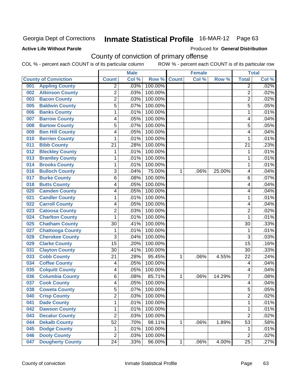### **Active Life Without Parole**

Produced for **General Distribution**

## County of conviction of primary offense

|     |                             |                 | <b>Male</b> |         |              | <b>Female</b> |        |                 | <b>Total</b> |
|-----|-----------------------------|-----------------|-------------|---------|--------------|---------------|--------|-----------------|--------------|
|     | <b>County of Conviction</b> | <b>Count</b>    | Col %       | Row %   | <b>Count</b> | Col %         | Row %  | <b>Total</b>    | Col %        |
| 001 | <b>Appling County</b>       | 2               | .03%        | 100.00% |              |               |        | $\overline{2}$  | .02%         |
| 002 | <b>Atkinson County</b>      | $\overline{2}$  | .03%        | 100.00% |              |               |        | $\overline{2}$  | .02%         |
| 003 | <b>Bacon County</b>         | $\overline{2}$  | .03%        | 100.00% |              |               |        | $\overline{2}$  | .02%         |
| 005 | <b>Baldwin County</b>       | $\overline{5}$  | .07%        | 100.00% |              |               |        | $\overline{5}$  | .05%         |
| 006 | <b>Banks County</b>         | 1               | .01%        | 100.00% |              |               |        | 1               | .01%         |
| 007 | <b>Barrow County</b>        | 4               | .05%        | 100.00% |              |               |        | 4               | .04%         |
| 008 | <b>Bartow County</b>        | $\overline{5}$  | .07%        | 100.00% |              |               |        | $\overline{5}$  | .05%         |
| 009 | <b>Ben Hill County</b>      | 4               | .05%        | 100.00% |              |               |        | 4               | .04%         |
| 010 | <b>Berrien County</b>       | 1               | .01%        | 100.00% |              |               |        | 1               | .01%         |
| 011 | <b>Bibb County</b>          | $\overline{21}$ | .28%        | 100.00% |              |               |        | $\overline{21}$ | .23%         |
| 012 | <b>Bleckley County</b>      | 1               | .01%        | 100.00% |              |               |        | 1               | .01%         |
| 013 | <b>Brantley County</b>      | 1               | .01%        | 100.00% |              |               |        | $\mathbf{1}$    | .01%         |
| 014 | <b>Brooks County</b>        | 1               | .01%        | 100.00% |              |               |        | 1               | .01%         |
| 016 | <b>Bulloch County</b>       | 3               | .04%        | 75.00%  | 1            | .06%          | 25.00% | 4               | .04%         |
| 017 | <b>Burke County</b>         | 6               | .08%        | 100.00% |              |               |        | $6\phantom{1}6$ | .07%         |
| 018 | <b>Butts County</b>         | 4               | .05%        | 100.00% |              |               |        | 4               | .04%         |
| 020 | <b>Camden County</b>        | 4               | .05%        | 100.00% |              |               |        | 4               | .04%         |
| 021 | <b>Candler County</b>       | 1               | .01%        | 100.00% |              |               |        | 1               | .01%         |
| 022 | <b>Carroll County</b>       | 4               | .05%        | 100.00% |              |               |        | 4               | .04%         |
| 023 | <b>Catoosa County</b>       | $\overline{c}$  | .03%        | 100.00% |              |               |        | $\overline{c}$  | .02%         |
| 024 | <b>Charlton County</b>      | 1               | .01%        | 100.00% |              |               |        | 1               | .01%         |
| 025 | <b>Chatham County</b>       | 30              | .41%        | 100.00% |              |               |        | 30              | .33%         |
| 027 | <b>Chattooga County</b>     | 1               | .01%        | 100.00% |              |               |        | 1               | .01%         |
| 028 | <b>Cherokee County</b>      | $\overline{3}$  | .04%        | 100.00% |              |               |        | $\overline{3}$  | .03%         |
| 029 | <b>Clarke County</b>        | $\overline{15}$ | .20%        | 100.00% |              |               |        | 15              | .16%         |
| 031 | <b>Clayton County</b>       | $\overline{30}$ | .41%        | 100.00% |              |               |        | 30              | .33%         |
| 033 | <b>Cobb County</b>          | 21              | .28%        | 95.45%  | 1            | .06%          | 4.55%  | 22              | .24%         |
| 034 | <b>Coffee County</b>        | 4               | .05%        | 100.00% |              |               |        | $\overline{4}$  | .04%         |
| 035 | <b>Colquitt County</b>      | 4               | .05%        | 100.00% |              |               |        | 4               | .04%         |
| 036 | <b>Columbia County</b>      | 6               | .08%        | 85.71%  | 1            | .06%          | 14.29% | $\overline{7}$  | .08%         |
| 037 | <b>Cook County</b>          | 4               | .05%        | 100.00% |              |               |        | 4               | .04%         |
| 038 | <b>Coweta County</b>        | $\overline{5}$  | .07%        | 100.00% |              |               |        | $\overline{5}$  | .05%         |
| 040 | <b>Crisp County</b>         | $\overline{2}$  | .03%        | 100.00% |              |               |        | $\overline{2}$  | .02%         |
| 041 | <b>Dade County</b>          | 1               | .01%        | 100.00% |              |               |        | 1               | .01%         |
| 042 | <b>Dawson County</b>        | 1               | .01%        | 100.00% |              |               |        | 1               | .01%         |
| 043 | <b>Decatur County</b>       | $\overline{2}$  | .03%        | 100.00% |              |               |        | $\overline{2}$  | .02%         |
| 044 | <b>Dekalb County</b>        | 52              | .70%        | 98.11%  | 1            | .06%          | 1.89%  | 53              | .58%         |
| 045 | <b>Dodge County</b>         | 1               | .01%        | 100.00% |              |               |        | 1               | .01%         |
| 046 | <b>Dooly County</b>         | $\overline{2}$  | .03%        | 100.00% |              |               |        | $\overline{2}$  | .02%         |
| 047 | <b>Dougherty County</b>     | $\overline{24}$ | .33%        | 96.00%  | $\mathbf 1$  | .06%          | 4.00%  | 25              | .27%         |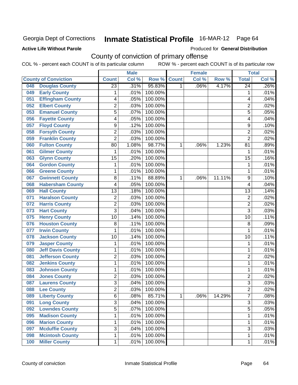### **Active Life Without Parole**

Produced for **General Distribution**

## County of conviction of primary offense

|     |                             |                 | <b>Male</b> |         |              | <b>Female</b> |        |                 | <b>Total</b> |
|-----|-----------------------------|-----------------|-------------|---------|--------------|---------------|--------|-----------------|--------------|
|     | <b>County of Conviction</b> | <b>Count</b>    | Col %       | Row %   | <b>Count</b> | Col %         | Row %  | <b>Total</b>    | Col %        |
| 048 | <b>Douglas County</b>       | $\overline{23}$ | .31%        | 95.83%  | 1            | .06%          | 4.17%  | $\overline{24}$ | $.26\%$      |
| 049 | <b>Early County</b>         | 1               | .01%        | 100.00% |              |               |        | 1               | .01%         |
| 051 | <b>Effingham County</b>     | 4               | .05%        | 100.00% |              |               |        | 4               | .04%         |
| 052 | <b>Elbert County</b>        | $\overline{2}$  | .03%        | 100.00% |              |               |        | $\overline{2}$  | .02%         |
| 053 | <b>Emanuel County</b>       | 5               | .07%        | 100.00% |              |               |        | 5               | .05%         |
| 056 | <b>Fayette County</b>       | 4               | .05%        | 100.00% |              |               |        | 4               | .04%         |
| 057 | <b>Floyd County</b>         | $\overline{9}$  | .12%        | 100.00% |              |               |        | 9               | .10%         |
| 058 | <b>Forsyth County</b>       | $\overline{2}$  | .03%        | 100.00% |              |               |        | $\overline{2}$  | .02%         |
| 059 | <b>Franklin County</b>      | $\overline{2}$  | .03%        | 100.00% |              |               |        | $\overline{2}$  | .02%         |
| 060 | <b>Fulton County</b>        | 80              | 1.08%       | 98.77%  | 1            | .06%          | 1.23%  | 81              | .89%         |
| 061 | <b>Gilmer County</b>        | $\mathbf 1$     | .01%        | 100.00% |              |               |        | 1               | .01%         |
| 063 | <b>Glynn County</b>         | $\overline{15}$ | .20%        | 100.00% |              |               |        | $\overline{15}$ | .16%         |
| 064 | <b>Gordon County</b>        | $\mathbf 1$     | .01%        | 100.00% |              |               |        | $\mathbf{1}$    | .01%         |
| 066 | <b>Greene County</b>        | 1               | .01%        | 100.00% |              |               |        | 1               | .01%         |
| 067 | <b>Gwinnett County</b>      | $\overline{8}$  | .11%        | 88.89%  | 1            | .06%          | 11.11% | 9               | .10%         |
| 068 | <b>Habersham County</b>     | 4               | .05%        | 100.00% |              |               |        | 4               | .04%         |
| 069 | <b>Hall County</b>          | 13              | .18%        | 100.00% |              |               |        | 13              | .14%         |
| 071 | <b>Haralson County</b>      | $\overline{2}$  | .03%        | 100.00% |              |               |        | $\overline{2}$  | .02%         |
| 072 | <b>Harris County</b>        | $\overline{2}$  | .03%        | 100.00% |              |               |        | $\overline{2}$  | .02%         |
| 073 | <b>Hart County</b>          | $\overline{3}$  | .04%        | 100.00% |              |               |        | $\overline{3}$  | .03%         |
| 075 | <b>Henry County</b>         | 10              | .14%        | 100.00% |              |               |        | 10              | .11%         |
| 076 | <b>Houston County</b>       | 8               | .11%        | 100.00% |              |               |        | 8               | .09%         |
| 077 | <b>Irwin County</b>         | 1               | .01%        | 100.00% |              |               |        | 1               | .01%         |
| 078 | <b>Jackson County</b>       | 10              | .14%        | 100.00% |              |               |        | 10              | .11%         |
| 079 | <b>Jasper County</b>        | $\mathbf 1$     | .01%        | 100.00% |              |               |        | $\mathbf{1}$    | .01%         |
| 080 | <b>Jeff Davis County</b>    | 1               | .01%        | 100.00% |              |               |        | 1               | .01%         |
| 081 | <b>Jefferson County</b>     | $\overline{2}$  | .03%        | 100.00% |              |               |        | $\overline{2}$  | .02%         |
| 082 | <b>Jenkins County</b>       | 1               | .01%        | 100.00% |              |               |        | $\mathbf{1}$    | .01%         |
| 083 | <b>Johnson County</b>       | 1               | .01%        | 100.00% |              |               |        | 1               | .01%         |
| 084 | <b>Jones County</b>         | $\overline{2}$  | .03%        | 100.00% |              |               |        | $\overline{2}$  | .02%         |
| 087 | <b>Laurens County</b>       | $\overline{3}$  | .04%        | 100.00% |              |               |        | 3               | .03%         |
| 088 | <b>Lee County</b>           | 2               | .03%        | 100.00% |              |               |        | 2               | $.02\%$      |
| 089 | <b>Liberty County</b>       | 6               | .08%        | 85.71%  | $\mathbf 1$  | .06%          | 14.29% | $\overline{7}$  | .08%         |
| 091 | <b>Long County</b>          | $\overline{3}$  | .04%        | 100.00% |              |               |        | $\overline{3}$  | .03%         |
| 092 | <b>Lowndes County</b>       | $\overline{5}$  | .07%        | 100.00% |              |               |        | $\overline{5}$  | .05%         |
| 095 | <b>Madison County</b>       | 1               | .01%        | 100.00% |              |               |        | $\mathbf{1}$    | .01%         |
| 096 | <b>Marion County</b>        | 1               | .01%        | 100.00% |              |               |        | $\mathbf 1$     | .01%         |
| 097 | <b>Mcduffie County</b>      | $\overline{3}$  | .04%        | 100.00% |              |               |        | $\overline{3}$  | .03%         |
| 098 | <b>Mcintosh County</b>      | 1               | .01%        | 100.00% |              |               |        | $\mathbf{1}$    | .01%         |
| 100 | <b>Miller County</b>        | $\mathbf 1$     | .01%        | 100.00% |              |               |        | $\mathbf{1}$    | .01%         |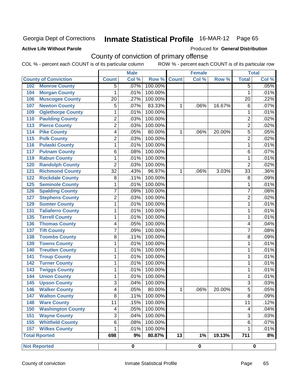## **Active Life Without Parole**

Produced for **General Distribution**

## County of conviction of primary offense

|                                 |                 | <b>Male</b> |         |              | <b>Female</b> |        |                | <b>Total</b> |
|---------------------------------|-----------------|-------------|---------|--------------|---------------|--------|----------------|--------------|
| <b>County of Conviction</b>     | <b>Count</b>    | Col %       | Row %   | <b>Count</b> | Col $%$       | Row %  | <b>Total</b>   | Col %        |
| <b>Monroe County</b><br>102     | 5               | .07%        | 100.00% |              |               |        | $\overline{5}$ | .05%         |
| <b>Morgan County</b><br>104     | 1               | .01%        | 100.00% |              |               |        | 1              | .01%         |
| <b>Muscogee County</b><br>106   | $\overline{20}$ | .27%        | 100.00% |              |               |        | 20             | .22%         |
| <b>Newton County</b><br>107     | 5               | .07%        | 83.33%  | 1            | .06%          | 16.67% | 6              | .07%         |
| <b>Oglethorpe County</b><br>109 | 1               | .01%        | 100.00% |              |               |        | 1              | .01%         |
| <b>Paulding County</b><br>110   | $\overline{c}$  | .03%        | 100.00% |              |               |        | $\overline{c}$ | .02%         |
| <b>Pierce County</b><br>113     | $\overline{2}$  | .03%        | 100.00% |              |               |        | $\overline{2}$ | .02%         |
| <b>Pike County</b><br>114       | 4               | .05%        | 80.00%  | 1            | .06%          | 20.00% | $\overline{5}$ | .05%         |
| <b>Polk County</b><br>115       | $\overline{2}$  | .03%        | 100.00% |              |               |        | $\overline{2}$ | .02%         |
| <b>Pulaski County</b><br>116    | 1               | .01%        | 100.00% |              |               |        | 1              | .01%         |
| <b>Putnam County</b><br>117     | 6               | .08%        | 100.00% |              |               |        | 6              | .07%         |
| <b>Rabun County</b><br>119      | 1               | .01%        | 100.00% |              |               |        | 1              | .01%         |
| <b>Randolph County</b><br>120   | $\overline{2}$  | .03%        | 100.00% |              |               |        | $\overline{2}$ | .02%         |
| <b>Richmond County</b><br>121   | $\overline{32}$ | .43%        | 96.97%  | 1            | .06%          | 3.03%  | 33             | .36%         |
| <b>Rockdale County</b><br>122   | 8               | .11%        | 100.00% |              |               |        | 8              | .09%         |
| <b>Seminole County</b><br>125   | 1               | .01%        | 100.00% |              |               |        | 1              | .01%         |
| <b>Spalding County</b><br>126   | 7               | .09%        | 100.00% |              |               |        | $\overline{7}$ | .08%         |
| <b>Stephens County</b><br>127   | $\overline{c}$  | .03%        | 100.00% |              |               |        | $\overline{c}$ | .02%         |
| <b>Sumter County</b><br>129     | 1               | .01%        | 100.00% |              |               |        | 1              | .01%         |
| <b>Taliaferro County</b><br>131 | 1               | .01%        | 100.00% |              |               |        | 1              | .01%         |
| <b>Terrell County</b><br>135    | 1               | .01%        | 100.00% |              |               |        | 1              | .01%         |
| <b>Thomas County</b><br>136     | 4               | .05%        | 100.00% |              |               |        | 4              | .04%         |
| <b>Tift County</b><br>137       | $\overline{7}$  | .09%        | 100.00% |              |               |        | $\overline{7}$ | .08%         |
| <b>Toombs County</b><br>138     | 8               | .11%        | 100.00% |              |               |        | 8              | .09%         |
| <b>Towns County</b><br>139      | 1               | .01%        | 100.00% |              |               |        | 1              | .01%         |
| <b>Treutlen County</b><br>140   | 1               | .01%        | 100.00% |              |               |        | 1              | .01%         |
| <b>Troup County</b><br>141      | 1               | .01%        | 100.00% |              |               |        | 1              | .01%         |
| <b>Turner County</b><br>142     | 1               | .01%        | 100.00% |              |               |        | $\mathbf 1$    | .01%         |
| <b>Twiggs County</b><br>143     | 1               | .01%        | 100.00% |              |               |        | 1              | .01%         |
| <b>Union County</b><br>144      | 1               | .01%        | 100.00% |              |               |        | 1              | .01%         |
| <b>Upson County</b><br>145      | 3               | .04%        | 100.00% |              |               |        | 3              | .03%         |
| <b>Walker County</b><br>146     | 4               | .05%        | 80.00%  | 1            | $.06\%$       | 20.00% | 5              | .05%         |
| <b>Walton County</b><br>147     | $\overline{8}$  | .11%        | 100.00% |              |               |        | $\overline{8}$ | .09%         |
| <b>Ware County</b><br>148       | 11              | .15%        | 100.00% |              |               |        | 11             | .12%         |
| <b>Washington County</b><br>150 | 4               | .05%        | 100.00% |              |               |        | 4              | .04%         |
| <b>Wayne County</b><br>151      | 3               | .04%        | 100.00% |              |               |        | 3              | .03%         |
| <b>Whitfield County</b><br>155  | 6               | .08%        | 100.00% |              |               |        | 6              | .07%         |
| <b>Wilkes County</b><br>157     | 1               | .01%        | 100.00% |              |               |        | 1              | .01%         |
| <b>Total Rported</b>            | 698             | 9%          | 80.87%  | 13           | 1%            | 19.13% | 711            | 8%           |
| <b>Not Reported</b>             |                 | 0           |         |              | 0             |        |                | $\pmb{0}$    |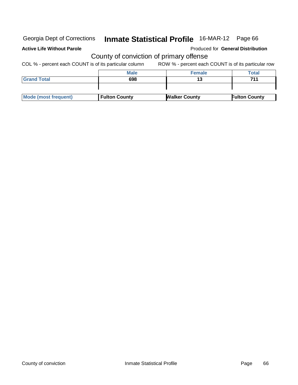## **Active Life Without Parole**

Produced for **General Distribution**

## County of conviction of primary offense

|                      | <b>Male</b>          | <b>Female</b>        | Total                |
|----------------------|----------------------|----------------------|----------------------|
| <b>Grand Total</b>   | 698                  |                      | 711                  |
|                      |                      |                      |                      |
|                      |                      |                      |                      |
| Mode (most frequent) | <b>Fulton County</b> | <b>Walker County</b> | <b>Fulton County</b> |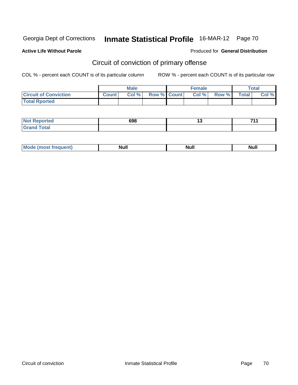## **Active Life Without Parole**

## Produced for **General Distribution**

# Circuit of conviction of primary offense

|                              |              | <b>Male</b> |                    | <b>Female</b> |       |              | $\tau$ otal |
|------------------------------|--------------|-------------|--------------------|---------------|-------|--------------|-------------|
| <b>Circuit of Conviction</b> | <b>Count</b> | Col%        | <b>Row % Count</b> | Col %         | Row % | <b>Total</b> | Col %       |
| <b>Total Rported</b>         |              |             |                    |               |       |              |             |

| <b>Not</b>           | 698 | . . | 744 |
|----------------------|-----|-----|-----|
| ported               |     |     |     |
| <b>Total</b><br>Gran |     |     |     |

| Mo<br>requent) | <b>Null</b> | <b>Null</b><br>______ | <b>NUIL</b> |
|----------------|-------------|-----------------------|-------------|
|----------------|-------------|-----------------------|-------------|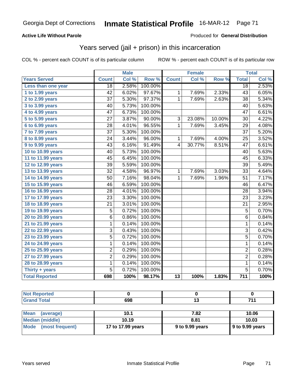## **Active Life Without Parole**

#### Produced for **General Distribution**

## Years served (jail + prison) in this incarceration

|                       |                         | <b>Male</b> |         |                | <b>Female</b> |        | <b>Total</b>    |       |
|-----------------------|-------------------------|-------------|---------|----------------|---------------|--------|-----------------|-------|
| <b>Years Served</b>   | <b>Count</b>            | Col %       | Row %   | <b>Count</b>   | Col %         | Row %  | <b>Total</b>    | Col % |
| Less than one year    | $\overline{18}$         | 2.58%       | 100.00% |                |               |        | $\overline{18}$ | 2.53% |
| 1 to 1.99 years       | 42                      | 6.02%       | 97.67%  | $\mathbf{1}$   | 7.69%         | 2.33%  | 43              | 6.05% |
| 2 to 2.99 years       | 37                      | 5.30%       | 97.37%  | $\mathbf{1}$   | 7.69%         | 2.63%  | 38              | 5.34% |
| 3 to 3.99 years       | 40                      | 5.73%       | 100.00% |                |               |        | 40              | 5.63% |
| 4 to 4.99 years       | 47                      | 6.73%       | 100.00% |                |               |        | 47              | 6.61% |
| 5 to 5.99 years       | 27                      | 3.87%       | 90.00%  | $\overline{3}$ | 23.08%        | 10.00% | 30              | 4.22% |
| 6 to 6.99 years       | 28                      | 4.01%       | 96.55%  | $\mathbf{1}$   | 7.69%         | 3.45%  | 29              | 4.08% |
| 7 to 7.99 years       | $\overline{37}$         | 5.30%       | 100.00% |                |               |        | $\overline{37}$ | 5.20% |
| 8 to 8.99 years       | $\overline{24}$         | 3.44%       | 96.00%  | $\mathbf{1}$   | 7.69%         | 4.00%  | $\overline{25}$ | 3.52% |
| 9 to 9.99 years       | 43                      | 6.16%       | 91.49%  | 4              | 30.77%        | 8.51%  | 47              | 6.61% |
| 10 to 10.99 years     | 40                      | 5.73%       | 100.00% |                |               |        | 40              | 5.63% |
| 11 to 11.99 years     | 45                      | 6.45%       | 100.00% |                |               |        | 45              | 6.33% |
| 12 to 12.99 years     | 39                      | 5.59%       | 100.00% |                |               |        | 39              | 5.49% |
| 13 to 13.99 years     | $\overline{32}$         | 4.58%       | 96.97%  | $\mathbf{1}$   | 7.69%         | 3.03%  | 33              | 4.64% |
| 14 to 14.99 years     | 50                      | 7.16%       | 98.04%  | 1              | 7.69%         | 1.96%  | 51              | 7.17% |
| 15 to 15.99 years     | 46                      | 6.59%       | 100.00% |                |               |        | 46              | 6.47% |
| 16 to 16.99 years     | $\overline{28}$         | 4.01%       | 100.00% |                |               |        | 28              | 3.94% |
| 17 to 17.99 years     | $\overline{23}$         | 3.30%       | 100.00% |                |               |        | $\overline{23}$ | 3.23% |
| 18 to 18.99 years     | $\overline{21}$         | 3.01%       | 100.00% |                |               |        | $\overline{21}$ | 2.95% |
| 19 to 19.99 years     | 5                       | 0.72%       | 100.00% |                |               |        | $\overline{5}$  | 0.70% |
| 20 to 20.99 years     | 6                       | 0.86%       | 100.00% |                |               |        | 6               | 0.84% |
| 21 to 21.99 years     | 1                       | 0.14%       | 100.00% |                |               |        | $\mathbf{1}$    | 0.14% |
| 22 to 22.99 years     | $\overline{3}$          | 0.43%       | 100.00% |                |               |        | $\overline{3}$  | 0.42% |
| 23 to 23.99 years     | $\overline{5}$          | 0.72%       | 100.00% |                |               |        | $\overline{5}$  | 0.70% |
| 24 to 24.99 years     | 1                       | 0.14%       | 100.00% |                |               |        | $\mathbf{1}$    | 0.14% |
| 25 to 25.99 years     | $\overline{\mathbf{c}}$ | 0.29%       | 100.00% |                |               |        | $\overline{2}$  | 0.28% |
| 27 to 27.99 years     | $\overline{2}$          | 0.29%       | 100.00% |                |               |        | $\overline{2}$  | 0.28% |
| 28 to 28.99 years     | 1                       | 0.14%       | 100.00% |                |               |        | $\mathbf 1$     | 0.14% |
| Thirty $+$ years      | $\overline{5}$          | 0.72%       | 100.00% |                |               |        | $\overline{5}$  | 0.70% |
| <b>Total Reported</b> | 698                     | 100%        | 98.17%  | 13             | 100%          | 1.83%  | 711             | 100%  |

| orted          |     |     |
|----------------|-----|-----|
| 'ota<br>$\sim$ | 698 | 74A |

| ∣Mean<br>(average)      | 10.1              | 7.82            | 10.06                   |
|-------------------------|-------------------|-----------------|-------------------------|
| Median (middle)         | 10.19             | 8.81            | 10.03                   |
| Mode<br>(most frequent) | 17 to 17.99 years | 9 to 9.99 years | $\vert$ 9 to 9.99 years |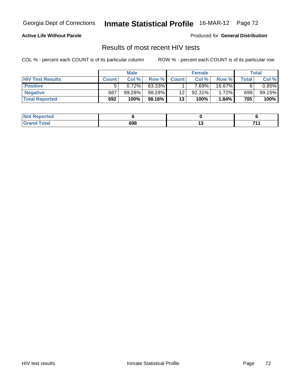## **Active Life Without Parole**

Produced for **General Distribution**

## Results of most recent HIV tests

|                         | <b>Male</b>  |        |        |              | <b>Female</b> | Total  |       |        |
|-------------------------|--------------|--------|--------|--------------|---------------|--------|-------|--------|
| <b>HIV Test Results</b> | <b>Count</b> | Col %  | Row %  | <b>Count</b> | Col %         | Row %  | Total | Col %  |
| <b>Positive</b>         |              | 0.72%  | 83.33% |              | 7.69%         | 16.67% |       | 0.85%  |
| <b>Negative</b>         | 687          | 99.28% | 98.28% | 12           | $92.31\%$     | 1.72%  | 699   | 99.15% |
| <b>Total Reported</b>   | 692          | 100%   | 98.16% | 13           | 100%          | 1.84%  | 705   | 100%   |

| <b>Not Reported</b>         |     |        |         |
|-----------------------------|-----|--------|---------|
| <b>Total</b><br><b>Gran</b> | 698 | $\sim$ | 74<br>. |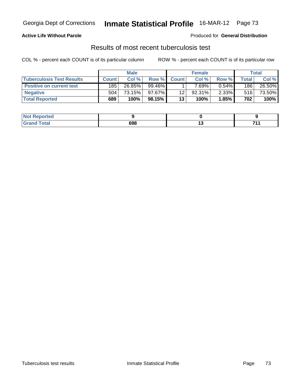### **Active Life Without Parole**

Produced for **General Distribution**

## Results of most recent tuberculosis test

|                                  | <b>Male</b>  |        |           | <b>Female</b> |           |              | Total |        |
|----------------------------------|--------------|--------|-----------|---------------|-----------|--------------|-------|--------|
| <b>Tuberculosis Test Results</b> | <b>Count</b> | Col %  | Row %     | <b>Count</b>  | Col %     | <b>Row %</b> | Total | Col %  |
| <b>Positive on current test</b>  | 185          | 26.85% | 99.46%    |               | 7.69%」    | $0.54\%$     | 186   | 26.50% |
| <b>Negative</b>                  | 504          | 73.15% | $97.67\%$ | 12            | $92.31\%$ | $2.33\%$     | 516   | 73.50% |
| <b>Total Reported</b>            | 689          | 100%   | 98.15%    | 13            | 100%      | 1.85%        | 702   | 100%   |

| <b>Not Reported</b>         |     |        |         |
|-----------------------------|-----|--------|---------|
| <b>Total</b><br><b>Grar</b> | 698 | $\sim$ | 74<br>. |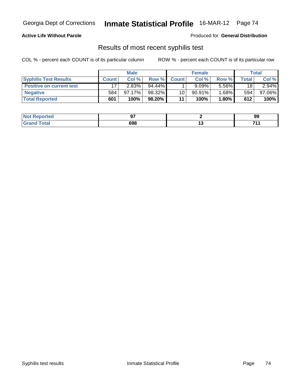## **Active Life Without Parole**

Produced for **General Distribution**

## Results of most recent syphilis test

|                                 | <b>Male</b>  |           |        | <b>Female</b> |          |              | Total |        |  |
|---------------------------------|--------------|-----------|--------|---------------|----------|--------------|-------|--------|--|
| <b>Syphilis Test Results</b>    | <b>Count</b> | Col $%$   | Row %  | <b>Count</b>  | Col %    | <b>Row %</b> | Total | Col %  |  |
| <b>Positive on current test</b> |              | $2.83\%$  | 94.44% |               | $9.09\%$ | $5.56\%$     | 18    | 2.94%  |  |
| <b>Negative</b>                 | 584          | $97.17\%$ | 98.32% | 10            | 90.91%   | $1.68\%$     | 594   | 97.06% |  |
| <b>Total Reported</b>           | 601          | 100%      | 98.20% | 11            | 100%     | $1.80\%$     | 612   | 100%   |  |

| <b>Not</b><br>Reported |     |        | 99      |
|------------------------|-----|--------|---------|
| <b>otal</b><br>. Grar  | 698 | $\sim$ | 74<br>. |